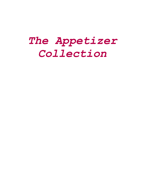# *The Appetizer Collection*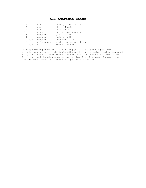# **All-American Snack**

|               | cups        | thin pretzel sticks    |
|---------------|-------------|------------------------|
| 4             | cups        | Wheat Chex®            |
| 4             | cups        | Cheerios®              |
| 13            | ounces      | can salted peanuts     |
| 1             | teaspoon    | garlic salt            |
| 1             | teaspoon    | celery salt            |
| 1/2           | teaspoon    | seasoned salt          |
| $\mathcal{P}$ | tablespoons | grated parmesan cheese |
|               | cup         | melted butter          |

In large mixing bowl or slow-cooking pot, mix together pretzels, cereals, and peanuts. Sprinkle with garlic salt, celery salt, seasoned salt, and cheese. Pour melted butter over all; toss until well mixed. Cover and cook in slow-cooking pot on low 3 to 4 hours. Uncover the last 30 to 40 minutes. Serve as appetizer or snack.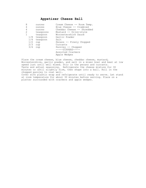# **Appetizer Cheese Ball**

| 8   | ounces    | Cream Cheese -- Room Temp. |
|-----|-----------|----------------------------|
| 4   | ounces    | Blue Cheese -- Crumbled    |
| 4   | ounces    | Cheddar Cheese -- Shredded |
| 2   | teaspoons | Mustard -- Dijon-style     |
| 1   | teaspoon  | Worcestershire Sauce       |
| 1/8 | teaspoon  | Garlic Powder              |
| 1/4 | teaspoon  | Salt                       |
| 1/2 | cup       | Pecans -- Finely Chopped   |
| 2/3 | cup       | Currants                   |
| 3/4 | cup       | Parsley -- Chopped         |
|     |           | $---DIPPERS---$            |
|     |           | Assorted Crackers          |
|     |           | Apple Wedges               |
|     |           |                            |

Place the cream cheese, blue cheese, cheddar cheese, mustard, Worcestershire, garlic powder, and salt in a mixer bowl and beat at low speed just until well mixed. Stir in the pecans and currants. Taste and adjust seasoning. Refrigerate the cheese mixture for 30 minutes or until slightly firm, then shape into a ball. Roll in the chopped parsley to coat well. Cover with plastic wrap and refrigerate until ready to serve. Let stand at room temperature for about 30 minutes before serving. Place on a platter surrounded with crackers and apple wedges.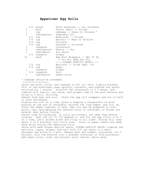#### **Appetizer Egg Rolls**

|                   | 1/2<br>pound | Pork; Boneless -- Cut Julienne |
|-------------------|--------------|--------------------------------|
| 1                 | each         | Onion; Small -- Sliced         |
| $\mathbf 1$       | cup          | Cabbage -- Green Or Chinese *  |
| $\mathfrak{D}$    | tablespoons  | Vegetable Oil                  |
|                   | 1/2<br>cup   | Mushrooms -- Sliced            |
|                   | 1/4<br>cup   | Sprouts -- Bean Or Alfalfa     |
|                   | $1/4$ cup    | Currants                       |
|                   | $1/4$ cup    | Almonds -- Slivered            |
| 1                 | teaspoon     | Cornstarch                     |
| $\mathbf{2}$      | tablespoons  | Sherry $--$ Dry                |
| $\mathbf{1}$      | tablespoon   | Soy Sauce                      |
|                   | 1/2 teaspoon | Ginger                         |
| $12 \overline{ }$ | each         | Egg Roll Wrappers -- Abt 6" Sq |
|                   |              | -- Oil For Deep Fat Fry        |
|                   |              | -----GINGER APRICOT SAUCE----- |
|                   | 1/4<br>cup   | Apricots -- Dried (Abt. 10)    |
|                   | $1/4$ cup    | Sugar                          |
| 1                 | teaspoon     | Ginger                         |
|                   | 1/4 teaspoon | Salt                           |
| $\mathbf 1$       | tablespoon   | Lemon Juice                    |

\* Cabbage should be shredded.

++++++++++++++++++

Saute the pork, onion, and cabbage in hot oil until lightly browned. Stir in the mushrooms, bean sprouts, currants, and almonds and saute, stirring for 1 minute. Dissolve the cornstarch in 2 T water, and combine with sherry, soy sauce, and ginger; add to the pork mixture and bring to a boil, stirring. Remove from heat and cool. Stack the egg roll wrappers and cut in half to form rectangles. Forming one roll at a time, place a heaping a teaspoonful of pork mixture on one end of rectangle, moisten the long edges, and roll up. Press the edges together to seal. Egg roll may be prepared to this point, then refrigerated for several hours or overnight or frozen for several days before frying. Adjust time for browning. If rolls are frozen, let them thaw before cooking. Heat the oil to 375 degrees F. and fry the egg rolls, 4 or 5 at a time, until golden brown and crisp on all sides. Frying will take about 4 to 5 minutes; turn rolls once. Drain on paper towels and keep warm while frying the remaining rolls. Serve with warm Ginger Apricot Sauce. GINGER APRICOT SAUCE: Combine the apricots, sugar, ginger, and salt with 3/4 cup water in a small saucepan and bring to a boil. Reduce heat and simmer, uncovered, for 5 minutes. Pour the mixture into a blender container or food processor. Add lemon juice, cover and process until smooth. Serve warm.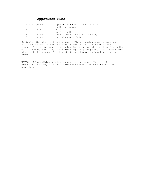# **Appetizer Ribs**

|   | $3\frac{1}{2}$ pounds | spareribs -- cut into individual |
|---|-----------------------|----------------------------------|
|   |                       | salt and pepper                  |
| 2 | cups                  | water                            |
|   |                       | garlic salt                      |
| 8 | ounces                | bottle Russian salad dressing    |
| 6 | ounces                | can pineapple juice              |

Sprinkle ribs with salt and pepper. Place in slow-cooking pot; pour water over them. Cover and cook on low for 6 to 7 hours or until tender. Drain. Arrange ribs on broiler pan; sprinkle with garlic salt. Make sauce by combining salad dressing and pineapple juice. Brush ribs with half the sauce. Broil until brown; turn, brush other side and brown.

NOTES : If possible, ask the butcher to cut each rib in half, crosswise, so they will be a more convenient size to handle as an appetizer.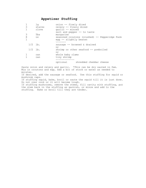# **Appetizer Stuffing**

|           | lq     | onion -- finely diced                                                    |
|-----------|--------|--------------------------------------------------------------------------|
| 3         | stalks | celery -- finely diced                                                   |
|           | clove  | qarlic -- minced                                                         |
|           |        | salt and pepper -- to taste                                              |
| 3         | Tbs    | margarine                                                                |
| 8         | OZ     | seasoned croutons (crushed) -- Pepperidge Farm<br>egg -- slightly beaten |
|           |        | $\sim$ $\sim$ $\sim$ $\sim$ $\sim$ $\sim$                                |
| $1/2$ lb. |        | sausage $-$ browned & drained                                            |
| $1/2$ lb. |        | or<br>shrimp or other seafood -- preboiled                               |
|           |        | or                                                                       |
|           | can    | whole baby clams                                                         |
|           | can    | tiny shrimp<br><b>~~~~~~~~~~~~</b>                                       |
|           |        | optional shredded cheddar cheese                                         |
|           |        |                                                                          |

Saute onion and celery and garlic. \*This can be dry sauted in Pam. Mix in croutons and egg. Add a bit of stock or water as needed to moisten. If desired, add the sausage or seafood. Use this stuffing for squid or mushroom caps. If stuffing squid, bake, broil or saute the squid till it is just done. Do not over cook or it will become tough. If stuffing mushrooms, remove the stems, fill cavity with stuffing, put the stem back in the stuffing as garnish, or mince and add to the stuffing. Bake or broil till they are tender.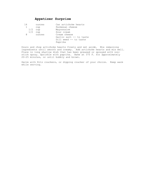# **Appetizer Surprise**

| 14 |           | ounces | Can artichoke hearts    |
|----|-----------|--------|-------------------------|
|    |           | cup    | Parmesan cheese         |
|    | 1/2       | cup    | Mayonnaise              |
|    | $1/2$ cup |        | Sour cream              |
| 8  |           | ounces | Cream cheese            |
|    |           |        | Garlic salt -- to taste |
|    |           |        | Dill weed -- to taste   |
|    |           |        | Paprika                 |
|    |           |        |                         |

Drain and chop artichoke hearts finely and set aside. Mix remaining ingredients until smooth and creamy. Add artichoke hearts and mix well. Place in long shallow dish that has been greased or sprayed with nonstick spray. Sprinkle with paprika. Bake at 375 F. for approximately 20-25 minutes, or until bubbly and brown.

Serve with Ritz crackers, or dipping cracker of your choice. Keep warm while serving.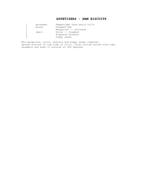# **APPETIZERS - HAM BISCUITS**

|   | packages | Pepperidge farm party rolls |
|---|----------|-----------------------------|
|   | pound    | Chopped ham                 |
|   |          | Margarine -- softened       |
|   | small    | Onion -- chopped            |
| 3 |          | Prepared mustard            |
|   |          | Poppy seeds                 |

Mix margarine, onion, mustard and poppy seeds together. spread mixture on top side of rolls. Cover bottom halves with ham, assemble and bake 10 minutes at 400 degrees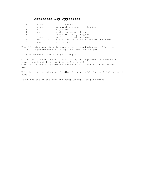# **Artichoke Dip Appetizer**

|               | ounces     | cream cheese                             |
|---------------|------------|------------------------------------------|
| 12            | ounces     | mozzarella cheese -- shredded            |
|               | cup        | mayonnaise                               |
|               | cup        | grated parmesan cheese                   |
|               |            | onion -- finely chopped                  |
|               | cloves     | garlic -- finely chopped                 |
| $\mathcal{L}$ | small jars | marinated artichoke hearts -- DRAIN WELL |
|               | bags       | pita bread                               |

The following appetizer is sure to be a crowd pleaser. I have never taken it anywhere without being asked for the recipe:

Tear artichokes apart with your fingers.

Cut up pita bread into chip size triangles, separate and bake on a cookie sheet until crispy (approx 5 minutes). Combine all other ingredients and mash (a Kitchen Aid mixer works great).

Bake in a uncovered casserole dish for approx 30 minutes @ 350 or until bubbly.

Serve hot out of the oven and scoop up dip with pita bread.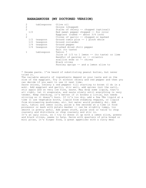#### **BABAGANOUSH (MY DOCTORED VERSION)**

| $\overline{2}$ | tablespoons  | Olive oil                                        |
|----------------|--------------|--------------------------------------------------|
| 2              |              | Onions (chopped)                                 |
| $\mathcal{P}$  |              | Stalks of celery -- chopped (optional)           |
| 1/2            |              | Red sweet pepper chopped -- for color            |
| 1              |              | Eqqplant (cubed $--$ about $3/4$ inch)           |
| $\mathcal{P}$  |              | Cloves of garlic $-$ chopped or mashed           |
| 1/2            | teaspoon     | Ground cumin plus -- 1 pinch whole               |
| 1/2            | teaspoon     | Ground coriander                                 |
|                | 1/4 teaspoon | Ground pepper                                    |
|                | 1/4 teaspoon | Crushed dried chili pepper                       |
|                |              | Salt (to taste)                                  |
|                | tablespoon   | Tahini *                                         |
|                |              | Juice of $1/2$ to 1 lemon $-$ (to taste) or lime |
|                |              | Handful of parsley or -- cilantro                |
|                |              | scallion ends or -- chives                       |
|                |              | Black olives                                     |
|                |              | Parsley sprigs -- and a lemon slice to           |
|                |              |                                                  |

\* Sesame paste. I've heard of substituting peanut butter, but never tried it.

The variable amounts of ingredients depend on your taste and on the size of the eggplant. Try it without celery and red pepper and then you can decide if you want to use it next time.

Saute onions, (celery & red pepper) till starting to brown (I do in a wok). Add eggplant and garlic, stir well, add spices (not the salt), stir again and on very low fire, saute. May drop some liquid, that's all right, let it evaporate, and saute slowly until everything is very tender. Keep checking, it's better if it browns a little, but needs stirring so it doesn't burn. If it's too dry, add a few TBs liquid at a time (I use vegetable broth, liquid from steaming veggies, or liquid from microwaving mushrooms, etc. but water would probably do). Add salt, tahini and lemon juice, pulse a few seconds at a time in food processor or mash with potato masher -- can be slightly lumpy, too smooth is pretty awful. Add green stuff, pulse once or twice to chop coarsely and distribute or chop coarsely and stir in. It's an ugly color, so I try to dress it up with a lemon slice, greens and black olives, seems to help. Serve with quarters of pita bread or mini pitas, it's finger food, a great appetizer with a curry meal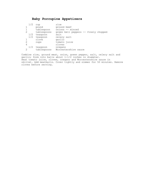# **Baby Porcupine Appetizers**

|   | 1/2 | cup         | rice                                 |
|---|-----|-------------|--------------------------------------|
|   |     | pound       | ground beef                          |
|   |     | tablespoon  | onions -- minced                     |
| 2 |     | tablespoons | green bell peppers -- finely chopped |
|   | 1/2 | teaspoon    | salt                                 |
|   | 1/2 | teaspoon    | celery salt                          |
|   |     | clove       | garlic                               |
|   |     | cups        | tomato juice                         |
| 4 |     |             | cloves                               |
|   | 1/2 | teaspoon    | oregano                              |
|   |     | tablespoons | Worcestershire sauce                 |

Combine rice, ground meat, onion, green pepper, salt, celery salt and garlic; form into balls about 1-1/2 inches in diameter. Heat tomato juice, cloves, oregano and Worcestershire sauce in skillet. Add meatballs. Cover tightly and simmer for 50 minutes. Remove cloves before serving.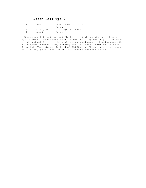# **Bacon Roll-ups 2**

| Loaf      | thin sandwich bread |
|-----------|---------------------|
|           | Spread              |
| 5 oz jars | Old English Cheese  |
| pound     | Bacon               |

 Remove crust from bread and flatten bread slices with a rolling pin. Spread bread with cheese spread and roll up jelly roll style. Cut into thirds and put 1/3 of a strip of bacon around each roll and secure with a toothpick. Bake on rack, turning once for about 15 minutes at 400~. Serve hot! Variations: Instead of Old English Cheese, use cream cheese with chives; peanut butter; or cream cheese and horseradish. .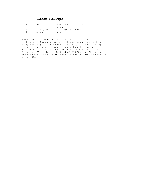# **Bacon Rollups**

| Loaf      | thin sandwich bread |
|-----------|---------------------|
|           | Spread              |
| 5 oz jars | Old English Cheese  |
| pound     | Bacon               |

Remove crust from bread and flatten bread slices with a rolling pin. Spread bread with cheese spread and roll up jelly roll style. Cut into thirds and put 1/3 of a strip of bacon around each roll and secure with a toothpick. Bake on rack, turning once for about 15 minutes at 400~. Serve hot! Variations: Instead of Old English Cheese, use cream cheese with chives; peanut butter; or cream cheese and horseradish.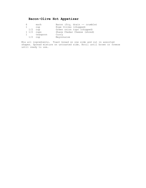# **Bacon-Olive Hot Appetizer**

| 6                   | each     | Bacon (fry, drain -- crumble) |
|---------------------|----------|-------------------------------|
|                     | cup      | Ripe Olives (chopped)         |
| $1/2$ cup           |          | Green onion tops (chopped)    |
| $1\frac{1}{2}$ cups |          | Sharp Chedar Cheese (shred)   |
| $\mathbf{1}$        | teaspoon | Curry                         |
| 1/2                 | cup      | Mayonnaise                    |

Mix all ingredients. Toast bread on one side and cut in assorted shapes. Spread mixture on untoasted side. Broil until brown or freeze until ready to use.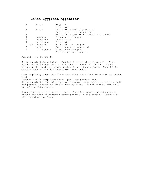#### **Baked Eggplant Appetizer**

|     | large       | Eqqplant                               |
|-----|-------------|----------------------------------------|
|     |             | Olive oil                              |
|     | large       | Onion -- peeled & quartered            |
| 3   |             | Garlic cloves -- unpeeled              |
|     |             | Red bell pepper $--$ halved and seeded |
|     | teaspoon    | Oregano -- chopped                     |
| 2   | teaspoons   | Lemon juice                            |
|     | tablespoon  | Olive oil                              |
| 1/8 | teaspoon    | Each salt and pepper                   |
| 4   | ounces      | Feta cheese -- crumbled                |
| 2   | tablespoons | Parsley -- chopped                     |
|     |             | Pita bread or crackers                 |
|     |             |                                        |

Preheat oven to 350 F.

Halve eggplant lengthwise. Brush all sides with olive oil. Place halves cut-side down on a baking sheet. Bake 25 minutes. Brush onion, garlic and red pepper with oil; add to eggplant. Bake 25-30 minutes longer or until vegetables are tender.

Cool eggplant; scoop out flesh and place in a food processor or wooden bowl. Squeeze garlic pulp from skins, peel red pepper, and a dd to eggplant along with onion, oregano, lemon juice, olive oil, salt and pepper. Process or finely chop by hand. Do not puree. Mix in 3 oz. of the feta cheese.

Spoon mixture into a serving bowl. Sprinkle remaining feta cheese around the edge of mixture; mound parsley in the center. Serve with pita bread or crackers.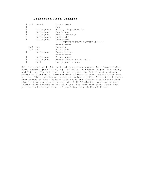#### **Barbecued Meat Patties**

| $1 \t1/4$      |            | pounds      | Ground meat                       |
|----------------|------------|-------------|-----------------------------------|
| 1              |            |             | Egg                               |
| $\overline{2}$ |            | tablespoons | Finely chopped onion              |
| 1              |            | tablespoon  | Soy sauce                         |
| 1              |            | tablespoon  | Tomato ketchup                    |
| $\overline{2}$ |            | tablespoons | Half-half                         |
| 1              |            | tablespoon  | Cornstarch                        |
|                |            |             | -----SNAPPETIZERSY BASTING S----- |
|                |            |             | ———————————                       |
|                | 1/2<br>cup |             | Ketchup                           |
|                | 1/4<br>cup |             | Water and                         |
|                |            | tablespoon  | Lemon juice.                      |
|                |            |             |                                   |
|                |            | tablespoon  | Brown sugar                       |
| 1              |            | tablespoon  | Worcestshire sauce and a          |
|                |            | dash        | Hot pepper sauce.                 |
|                |            |             |                                   |

Stir to blend well. Add dash salt and black pepper. In a large mixing bowl, combine ground meat, egg and onion. Add green pepper, soy sauce, and ketchup. Mix half and half and cornstarch. Add to meat mixture, mixing to blend well. Form portions of meat to even, rather thick meat patties. Place patties on preheated barbecue grill. Broil 3 to 4 inches from source of heat, basting with sauce and turning patties over from time to time for even browning. Grill 12-15 minutes total or to your liking- time depends on how well you like your meat done. Serve meat patties on hamburger buns, if you like, or with French Fries.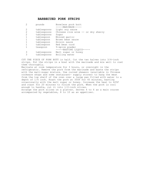#### **BARBECUED PORK STRIPS**

| $\overline{2}$ | pounds      | Boneless pork butt                 |
|----------------|-------------|------------------------------------|
|                |             | -----MARINADE-----                 |
| 2              | tablespoons | Light soy sauce                    |
| $\overline{2}$ | tablespoons | Chinese rice wine -- or dry sherry |
| 2              | tablespoons | Sugar                              |
|                | tablespoon  | Minced garlic                      |
|                | tablespoon  | Brown bean sauce                   |
|                | tablespoon  | Hoisin sauce                       |
|                | tablespoon  | Red bean curd                      |
|                | teaspoon    | 5-spice powder                     |
|                |             | -----BASTING LIOUID-----           |
| 3              | tablespoons | Malt sugar or honey                |
| 3              | tablespoons | Boiling water                      |
|                |             |                                    |

CUT THE PIECE OF PORK BUTT in half. Cut the two halves into 3/4-inch strips. Put the strips in a bowl with the marinade and mix well to coat them thoroughly.

Marinate at room temperature for 3 hours, or overnight in the refrigerator. Remove the pork from the marinade and baste the strips with the malt-sugar mixture. Use curved skewers (available in Chinese cookware shops and some restaurant- supply stores) to hang the meat from the top shelf of the oven over a large pan filled with water to a depth of 1/4 inch. Roast the pork at 350F for 45 minutes, basting occasionally with the malt sugar or honey. Increase the heat to 425F and roast for 20 minutes to finish the pork. When the pork is cool enough to handle, cut it into 1/2-inch slices. Arrange the pork slices on a platter. Serves 4 to 6 as a main course accompanied by vegetables, 8 to 10 as an appetizer.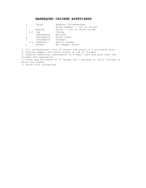#### **BARBEQUED CHICKEN APPETIZERS**

|              | large      | Boneles Chickenbreast         |
|--------------|------------|-------------------------------|
| 1            |            | Green Pepper -- cut in strips |
|              | medium     | Onion -- cut in thick strips  |
| 1/2          | cup        | Catsup                        |
| $\mathbf{1}$ | tablespoon | Mustard                       |
| $\mathbf{1}$ | tablespoon | Brown Sugar                   |
| $\mathbf{1}$ | tablespoon | Vinegar                       |
| 1/4          | teaspoon   | Garlic powder                 |
|              | dashes     | Hot Pepper Sauce              |
|              |            |                               |

1. Cut chickenbreast into 16 chunks and place in a microwave dish.

2. Scatter pepper and onion strips on top of chicken.

3. Combine remaining ingridients in a small bowl and pour over the chicken and vegetables.

4. Cover and microwave on 70 %power for 7 minutes or until chicken is white and tender.

5. Serve with toothpicks.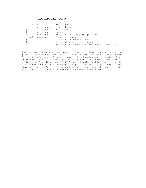#### **BARBEQUED PORK**

|   | 1/4 | cup         | Soy sauce                                      |
|---|-----|-------------|------------------------------------------------|
|   |     | tablespoons | Dry red wine                                   |
|   |     | tablespoon  | Brown sugar                                    |
|   |     | tablespoon  | Honey                                          |
| 2 |     | teaspoons   | Red food coloring -- optional                  |
|   | 1/2 | teaspoon    | Ground cinnamon                                |
|   |     |             | Green onion -- cut in half                     |
|   |     |             | Clove of garlic -- crushed                     |
|   |     |             | Whole pork tenderloins $--$ (about 12 oz each) |

Combine soy sauce; wine, sugar, honey, food coloring, cinnamon, onion and garlic in large bowl. Add pork, turning tenderloins to coat completely. Cover and refrigerate 1 hour or overnight, turning meat occasionally. Drain pork, reserving marinade. Place tenderloins on wire rack over baking pan. Bake in preheated 350F oven, turning and basting often with reserved marinade, until cooked through, about 45 minutes. Remove pork from oven; cool. Cut into diagonal slices. Makes about 8 appetizer size servings This is very nice served with green onion curls.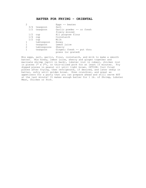### **BATTER FOR FRYING - ORIENTAL**

|     |             | Eggs $--$ beaten          |
|-----|-------------|---------------------------|
| 3/4 | teaspoon    | Salt                      |
| 1/2 | teaspoon    | Garlic powder -- or fresh |
|     |             | finely minced             |
| 1/2 | cup         | All purpose flour         |
| 1/4 | cup         | Cornstarch                |
| 1/2 | cup         | Milk                      |
|     | tablespoon  | Honey                     |
|     | teaspoon    | Lemon juice               |
| 2   | tablespoons | Sherry                    |
|     | teaspoon    | Ginger; fresh -- put thru |
|     |             | press (or grated)         |

Mix eggs, salt, garlic, flour, cornstarch, and milk to make a smooth batter. Mix honey, lemon juice, sherry and ginger together and marinate shrimp (split in back), lobster (cut in cubes), chicken (cut in pieces 1" x 2"), or thin-sliced pork for at least 15 minutes. Fry dipped pieces in peanut oil until light brown. OPTION: Cool fried pieces after frying, then refrigerate, if desired, and later redip in batter, refry until golden brown. Even crunchier, and great as appetizers for a party that you can prepare ahead and still serve HOT at the last minute! It makes enough batter for 1 lb. of Shrimp, Lobster Meat, Chicken or Pork.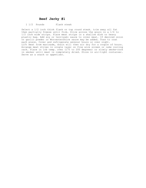#### **Beef Jerky #1**

#### 1 1/2 Pounds Flank steak

Select a 1/2 inch think flank or top round steak. trim away all fat then partially freeze until firm. Slice across the grain in a 1/4 to 1/2 inch wide strips. Place meat strips in a shallow dish or heavy plastic bag. Add soy or terriyaki sauce to cover meat. If desired onion or garlic powder or Worcestershire sauce may be added. Toss to coat each piece. Cover and refrigerate several hours or over night. Lift meat from marinade, drain will then air dry for a couple of hours. Arrange meat strips in single layer on fine wire screen or cake cooling rack. Place in low temp. oven (175 to 200 degrees) or slowly smoke-cook in smoker until meat is completely dried. Store in air-tight container. Serve as a snack or appetizer.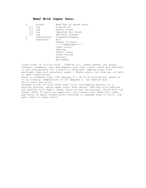#### **Beef With Caper Sauc**e

| 4   | pounds      | Beef Eye Of Round Roast |
|-----|-------------|-------------------------|
| 1/2 | cup         | Cooking Oil             |
| 1/2 | cup         | Tomato Paste            |
| 1/4 | cup         | Imported Soy Sauce      |
| 1/4 | cup         | Red Wine Vinegar        |
| 2   | tablespoons | Crushed Rosemary        |
| 2   | teaspoons   | Salt                    |
|     |             | Pepper To Taste         |
|     |             | $---GARNISHES---$       |
|     |             | Caper sauce             |
|     |             | Paprika                 |
|     |             | Tomato roses            |
|     |             | Green Onions            |
|     |             | Parsley                 |
|     |             | Rye Bread               |

Place roast in utility dish. Combine oil, tomato paste, soy sauce, vinegar, rosemary, salt and pepper; pour over roast, cover and marinate in the refrigerator for 2 hours or overnight. Remove roast from marinade; wipe with absorbent paper. Place roast, fat side up, on rack in open roasting pan. Roast in moderate oven (350 degrees F.) 18 to 20 minutes per pound or to an internal temperature of 150 degrees F. for medium-rare. Chill roast and slice. Arrange slices of cold roast beef in an overlapping pattern on a serving platter; spoon caper sauce down center. Sprinkle with paprika and garnish with tomato roses, green onions and parsley. Serve with rye bread. NOTE: To serve as appetizer, cut cooked roast beef into cubes and serve on small wooden picks inserted in cabbage head or fruit. Dip beef cubes in Caper Sauce.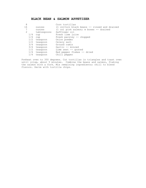# **BLACK BEAN & SALMON APPETIZER**

| 8  |     |             | Corn tortillas                                           |
|----|-----|-------------|----------------------------------------------------------|
| 16 |     | ounces      | $(1 \text{ cn})$ Corn black beans $-$ rinsed and drained |
|    |     | ounces      | $(1 \text{ cn})$ pink salmon; w bones $-$ drained        |
| 2  |     | tablespoons | Safflower oil                                            |
|    | 1/4 | cup         | Fresh lime juice                                         |
|    | 1/4 | cup         | Fresh parsley -- chopped                                 |
|    | 1/2 | teaspoon    | Onion powder                                             |
|    | 1/2 | teaspoon    | Celery salt                                              |
|    | 3/4 | teaspoon    | Ground cumin                                             |
|    | 3/4 | teaspoon    | Garlic -- minced                                         |
|    | 1/2 | teaspoon    | Lime zest $-$ qrated                                     |
|    | 1/4 | teaspoon    | Red pepper flakes -- dried                               |
|    | 1/4 | teaspoon    | Chili pepper                                             |
|    |     |             |                                                          |

Preheat oven to 350 degrees. Cut tortillas in triangles and toast oven until crisp, about 5 minutes. Combine the beans and salmon, flaking the salmon with a fork. Mix remaining ingredients; chill to blend flavors. Serve with tortilla chips.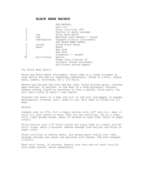#### **BLACK BEAN NACHOS**

| 2<br>$\overline{2}$<br>$\mathbf{1}$<br>$\mathbf{1}$<br>$\overline{2}$ | cup<br>cup<br>tablespoons | FOR NACHOS:<br>Corn oil<br>Flour tortillas (8")<br>Chorizo or spicy sausage<br>Black bean pesto<br>Monterey jack cheese -- shred<br>Chopped cilantro (coriander) |
|-----------------------------------------------------------------------|---------------------------|------------------------------------------------------------------------------------------------------------------------------------------------------------------|
|                                                                       |                           | FOR BLACK BEAN PESTO:                                                                                                                                            |
| 8                                                                     | ounces                    | Dried black beans                                                                                                                                                |
| 1                                                                     | quart                     | Water                                                                                                                                                            |
| $\mathbf{1}$                                                          |                           | Bay leaf                                                                                                                                                         |
| $\mathbf{1}$                                                          |                           | Ham hock                                                                                                                                                         |
| $\overline{2}$                                                        |                           | Jalapenos -- seeded                                                                                                                                              |
| 20                                                                    | milliliters               | Garlic                                                                                                                                                           |
|                                                                       |                           | Stems from 2 bunchs of<br>Cilantro (fresh coriander)<br>Salt/fresh ground pepper                                                                                 |

For Black Bean Pesto:

Rinse and drain beans thoroughly. Place them in a large saucepan or soup kettle and add all remaining ingredients. Bring to a boil, reduce heat, simmer, uncovered, for 1 1/2 hours.

Remove and discard ham hock and bay leaf. Using slotted spoon, transfer bean mixture, in batches, to the bowl of a food processor. Process, adding cooking liquid as necessary to form a smooth, thick paste. You will use a total of about 1 cup liquid.

Transfer the pesto to a bowl and stir in the salt and pepper if needed. Refrigerate, covered, until ready to use. Will keep in fridge for 2-3 days.

Nachos:

Preheat oven to 375F. Fill a heavy skillet with 1/2" corn oil. Heat it until oil just starts to move. Then fry the tortillas, one at a time, until light golden brown, about 15 seconds on each side. Drain on paper towels.

Slice chorizo into 1/4" thick rounds and saute them in a small skillet until crisp, about 5 minutes. Remove sausage from skillet and drain on paper towel.

Place tortillas on baking sheet, and spread pesto evenly over them. Arrange sausage over pesto and sprinkle with cheese. Top with chopped cilantro.

Bake until brown, 20 minutes. Remove from oven and cut each tortilla into eight pieces. Serve immediately.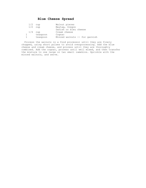# **Blue Cheese Spread**

|           | $1/2$ cup |          | Walnut pieces                 |
|-----------|-----------|----------|-------------------------------|
|           | $1/2$ cup |          | Maytaq, Oregon                |
|           |           |          | Danish or bleu cheese         |
|           | $1/4$ cup |          | Cream cheese                  |
| $1 \quad$ |           | teaspoon | Cognac                        |
|           |           | teaspoon | Minced walnuts -- for garnish |
|           |           |          |                               |

 Process the walnuts in a food processor until they are finely chopped, using short pulses to avoid overprocessing. Add the blue cheese and cream cheese, and process until they are thoroughly combined. Add the cognac, process until well mixed, and then transfer the mixture to one large or two small ramekins. Sprinkle with the minced walnuts, and serve.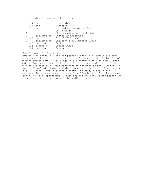Blue Cornmeal Chicken Wings

| 1/4 | cup          | Lime Juice                   |
|-----|--------------|------------------------------|
| 1/4 | cup          | Vegetable Oil                |
| 1/2 | cup          | Crushed Red Pepper Flakes    |
|     |              | Or To Taste                  |
| 10  |              | Chicken Wings (About 2 Lbs)  |
| 2   | tablespoons  | Butter Or Margarine          |
| 1/2 | cup          | Blue Or Yellow Cornmeal      |
| 2   | tablespoons  | Unbleached All Purpose Flour |
| 1/2 | teaspoon     | Salt                         |
|     | 1/2 teaspoon | Ground Cumin                 |
| 1/8 | teaspoon     | Pepper                       |
|     |              |                              |

#### Blue Cornmeal Chicken Wings Mix

Combine lime juice, oil and red pepper flakes in a large glass bowl. Cut each chicken wing at joints to make 3 pieces; discard tip. Cut off discard excess skin. Place wings in oil mixture; stir to coat. Cover and refrigerate at least 3 hours, stirring occasionally; drain. Heat oven to 425 degrees F. Heat margarine in rectangular pan, 13x9x2", in oven until melted. Shake remaining ingredients in plastic bag, or mix in bowl. Shake wings in cornmeal mixture to coat; place in pan. Bake uncovered 20 minutes, turn. Bake until golden brown, 20 to 25 minutes longer. Makes 20 appetizers. Flakes are not the same as red pepper and it can be as hot as you want it by adding more.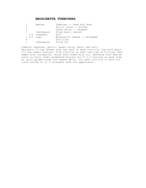#### **BRUSCHETTA TURNOVERS**

| 3            | medium       | Tomatoes -- seed and chop     |
|--------------|--------------|-------------------------------|
| 1            |              | Garlic clove -- minced        |
| 1            |              | Green onion -- chopped        |
| $\mathbf{1}$ | tablespoon   | Dried basil leaves            |
|              | 1/4 teaspoon | Salt                          |
| $1 \t1/3$    | cups         | Mozzarella cheese -- shredded |
| 4            |              | Tortillas                     |
|              | tablespoon   | Olive oil                     |

Combine tomatoes, garlic, green onion, basil and salt. Sprinkle 1/3 cup cheese over one half of each tortilla. Top with about 1/3 cup tomato mixture. Fold tortilla in half over top of filling. Seal edges with toothpicks. Brush both sided with oil. Barbecue over medium coals or broil under preheated broiler for 4 to 5 minutes on each side or until golden brown and cheese melts. Cut each tortilla in half for lunch entree or in 4 triangles each for appetizers.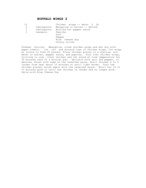#### **BUFFALO WINGS 2**

| 12<br>2<br>2<br>1 | tablespoons<br>tablespoons<br>teaspoon | Chicken wings $--$ about 2 lb<br>Margarine or butter -- melted<br>Bottled hot pepper sauce<br>Paprika<br>Salt<br>Pepper<br>Blue cheese dip |
|-------------------|----------------------------------------|--------------------------------------------------------------------------------------------------------------------------------------------|
|                   |                                        | Celery sticks                                                                                                                              |

Preheat broiler. Meanwhile, rinse chicken wings and pat dry with paper towels. Cut off and discard tips of chicken wings. Cut wings at joints to form 24 pieces. Place chicken pieces in a shallow, nonmetal or butter, pepper sauce, and paprika. Pour over chicken wings, stirring to coat. Cover chicken and let stand at room temperature for 30 minutes rack of a broiler pan. Sprinkle with salt and pepper, if desired. Brush with some of the reserved sauce. Broil chicken 4 to 5 inches from heat about 10 minutes or until light brown. Turn the chicken pieces; brush again with the reserved sauce. Broil for 10 to 15 minutes more or until the chicken is tender and no longer pink. Serve with Blue Cheese Dip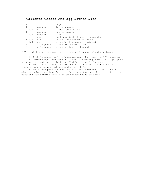# **Caliente Cheese And Egg Brunch Dish**

| 8              |             | eqqs                             |
|----------------|-------------|----------------------------------|
|                | teaspoon    | Tabasco sauce                    |
| 1/2            | cup         | all-purpose flour                |
|                | teaspoon    | baking powder                    |
| 1/4            | teaspoon    | salt                             |
| 3              | cups        | Monterey jack cheese -- shredded |
| $1\frac{1}{2}$ | cups        | cheddar cheese -- shredded       |
| 1/3            | cup         | green bell peppers -- minced     |
| 2              | tablespoons | black olives -- sliced           |
| $\mathcal{D}$  | tablespoons | qreen chiles -- chopped          |
|                |             |                                  |

\* This will make 36 appetizers or about 8 brunch-sized servings.

 1. Lightly grease a 9-inch square pan. Heat oven to 375 degrees. 2. Combine eggs and Tabasco sauce in a mixing bowl. Use high speed on mixer to beat until light and fluffy, about 5 minutes.

 3. Add flour, baking powder and salt. Mix well then stir in cheeses, green pepper, olives and green chiles.

 4. Pour into prepared pan and bake 20-25 minutes. Let stand 5 minutes before serving. Cut into 36 pieces for appetizer or into larger portions for serving with a spicy tomato sauce or salsa.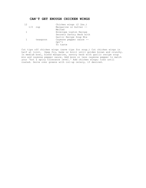#### **CAN'T GET ENOUGH CHICKEN WINGS**

| 12 |           | Chicken wings (2 lbs.)   |
|----|-----------|--------------------------|
|    | $1/2$ cup | Margarine or butter --   |
|    |           | Melted                   |
|    |           | Envelope Lipton Recipe   |
|    |           | Secrets Savory Herb with |
|    |           | Garlic Recipe Soup Mix   |
|    | teaspoon  | Cayenne pepper sauce --  |
|    |           | Opt'l                    |
|    |           | To taste                 |

Cut tips off chicken wings (save tips for soup.) Cut chicken wings in half at joint. Deep fry, bake or broil until golden brown and crunchy. In medium bowl, blend margarine, savory herb with garlic recipe soup mix and cayenne pepper sauce. Add more or less cayenne pepper to match your 'hot & spicy tolerance level.' Add chicken wings; toss until coated. Serve over greens with cut-up celery, if desired.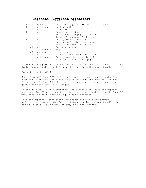#### **Caponata (Eggplant Appetizer)**

|     | pounds      | Unpeeled eqqplant $--$ cut in $3/4$ cubes. |
|-----|-------------|--------------------------------------------|
|     | tablespoon  | Kosher salt                                |
| 1/2 | cup         | Olive oil                                  |
|     | cup         | Coarsely diced onion                       |
| 4   |             | Med. sweet red peppers cut>>               |
|     |             | Into $3/4$ " squares (2 1/2 c.)            |
|     | cup         | Celery -- coarse dice                      |
| 8   |             | Med. ripe Italian tomatoes>>               |
|     |             | Pureed to make 2 c. puree.                 |
| 1/4 | cup         | Red wine vinegar                           |
|     | tablespoons | Sugar                                      |
| 1/2 |             | Minced garlic                              |
| 1/4 | cup         | Pitted, sliced -- black olives             |
| 3   |             | Capers (smallest available)                |
|     |             | Salt and ground black pepper               |
|     |             | $1 \t1/2$<br>teaspoon<br>tablespoons       |

Sprinkle the eggplant with the coarse salt and toss the cubes. Let them drain in a colander for 1/2 hr., then pat dry with paper towels.

Preheat oven to 375 F.

Heat olive oil in a 12" skillet and saute onion, peppers, and celery over med. high heat for 5 min., stirring. Add the eggplant and toss for another 5 min. Add the tomato puree, winer vinegar, sugar, and garlic and stir for 2 min. longer.

In the skillet (if it's ovenproof) or baking dish, bake the caponata, uncovered for 20 min. Add the olives and capers and stir well. Bake 15 min. more, or until most of liquid has evaporated.

Cool the caponata, then taste and season with salt and pepper. Refrigerate, covered, for 24 hrs. before serving. Caponata will keep for at least a week in the 'fridge, or 6 mos. frozen.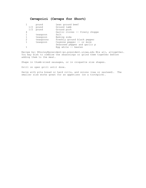# **Cevapcici (Cevaps for Short)**

|     | pound     | Lean ground beef               |
|-----|-----------|--------------------------------|
| 1/2 | pound     | Ground lamb                    |
| 1/2 | pound     | Ground pork                    |
| 4   |           | Garlic cloves -- finely choppe |
|     | teaspoon  | Salt                           |
|     | teaspoon  | Baking soda                    |
| 2   | teaspoons | Freshly ground black pepper    |
|     | teaspoon  | Cayenne pepper $--$ or more    |
|     |           | Seasoned pepper and garlic p   |
|     |           | Eqq white $--$ beaten          |

Recipe by: NDooley@president-po.president.uiowa.edu Mix all, altogether. You may wish to combine the seasonings or grind them together before adding them to the meat.

Shape in thumb-sized sausages, or in croquette size shapes.

Grill on open grill until done.

Serve with pita bread or hard rolls, and onions (raw or sauteed). The smaller size works great for an appetizer (on a toothpick).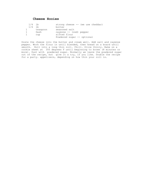#### **Cheese Hooies**

|     | $1/4$ lb | strong cheese $--$ (we use cheddar) |
|-----|----------|-------------------------------------|
| 1/4 | 1b       | butter                              |
|     | teaspoon | seasoned salt                       |
|     | Dash     | cayenne $--$ (red) pepper           |
|     | cup      | sifted flour                        |
|     |          | Powdered sugar -- optional          |

Grate the cheese into the butter and cream well. Add salt and cayenne pepper. Work the flour in until blended, then knead on a board until smooth. Roll into a long thin roll. Chill. Slice thinly. Bake on a cookie sheet at 350 degrees F until beginning to brown (8 minutes or more). Dust with powdered sugar. Normally we leave the powdered sugar out of the recipe, but give it a try, if you like. Double the recipe for a party. appetizers, depending on how thin your roll is.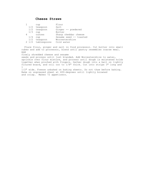#### **Cheese Straws**

|   |                 | cup         | Flour                  |
|---|-----------------|-------------|------------------------|
|   | 1/2             | teaspoon    | Salt                   |
|   | 1/2             | teaspoon    | Ginger -- powdered     |
|   | 1/3             | cup         | Butter                 |
| 4 |                 | ounces      | Sharp cheddar cheese   |
|   | 1/4             | cup         | Sesame seed -- toasted |
|   | 1/2             | teaspoon    | Worcestershire         |
|   | $2 \frac{1}{2}$ | tablespoons | Cold water             |

 Place flour, ginger and salt in food processor. Cut butter into small cubes and add to processor, blend until pastry resembles coarse meal. Add

finely shredded cheese and sesame

seeds and process until just blanded. Add Worcestershire to water, sprinkle over flour mixture, and process until dough is moistened holds together when pinched with fingers. Gather dough into a ball on lightly floured board, and roll out to 1/8" thick. Cut into strips 3" long and 1

1/2" wide. Freeze unbaked on baking sheets. Do not thaw before baking. Bake on ungreased sheet at 400-degrees until lightly browned and crisp. Makes 72 appetizers.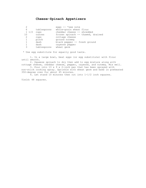# **Cheese-Spinach Appetizers**

|                 |             | eggs -- *see note                 |
|-----------------|-------------|-----------------------------------|
| 6               | tablespoons | whole-grain wheat flour           |
| $1 \frac{1}{2}$ | cups        | cheddar cheese -- shredded        |
| 10              | ounces      | frozen spinach -- thawed, drained |
| 2               | cups        | cottage cheese                    |
|                 | pinch       | ground nutmeg                     |
|                 | dash        | black pepper -- fresh ground      |
|                 | dash        | cayenne pepper                    |
| 3               | tablespoons | wheat germ                        |

\* Use egg substitute for equally good taste.

 1. In a large bowl, beat eggs (or egg substitute) with flour until smooth.

 2. Squeeze spinach to dry then add to egg mixture along with cottage cheese, cheddar cheese, pepper, cayenne, and nutmeg. Mix well.

 3. Pour into 13 x 9 x 2-inch pan that has been sprayed with non-stick cooking spray. Sprinkle with wheat germ and bake in preheated 350-degree oven for about 45 minutes.

4. Let stand 10 minutes then cut into 1-1/2 inch squares.

Yield: 48 squares.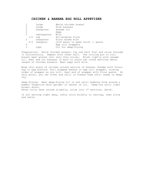#### **CHICKEN & BANANA EGG ROLL APPETIZER**

|     | large       | Whole chicken breast              |
|-----|-------------|-----------------------------------|
| 2   | large       | Firm bananas                      |
| 2   | teaspoons   | Sesame oil                        |
| 2   |             | Eqqs                              |
| 2   | tablespoons | Milk                              |
| 1/2 | cup         | All-purpose flour                 |
|     | teaspoons   | Flour mixed with                  |
| 2/3 | teaspoon    | Cold water to make thick -- paste |
| 4   |             | Eqq roll wrappers                 |
|     | cups        | Oil for deep-frying               |
|     |             |                                   |

Preparation: Halve chicken breast; lay one half flat and slice through it horizontally. Repeat with other half. Use rolling pin to roll breast meat pieces into very thin slices. Brush lightly with sesame oil. Peel and cut bananas in half to yield two round sections about length of chicken breasts. Beat eggs with milk.

Wrap thin piece of chicken around section of banana; dredge with flour; dip in egg mixture. Roll wrapped banana in egg roll wrapper, tucking sides of wrapper as you roll. Seal end of wrapper with flour paste. At this point, you can cover and chill or freeze them until ready to deepfry.

Deep-frying: Heat deep-frying oil in wok until bubbles form around a bamboo chopstick held upright in center of oil. Deep-fry until light brown; drain. After rolls have cooled slightly, slice into 1" sections. Serve.

If not serving right away, refry rolls briefly to recrisp, then slice and serve.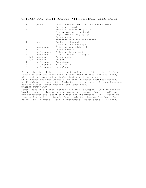#### **CHICKEN AND FRUIT KABOBS WITH MUSTARD-LEEK SAUCE**

|                | pound       | Chicken breast -- boneless and skinless |
|----------------|-------------|-----------------------------------------|
| 2              |             | Bananas -- small                        |
| 3              |             | Peaches, medium -- pitted               |
| 3              |             | Plums, medium -- pitted                 |
|                |             | Vegetable cooking spray                 |
|                |             | Curry powder                            |
|                |             | -----MUSTARD-LEEK SAUCE-----            |
|                | cup         | Leeks $--$ chopped                      |
|                |             | green onions and tops                   |
| $\overline{2}$ | teaspoons   | Olive or vegetable oil                  |
|                | cup         | Chicken broth                           |
| 3              | tablespoons | Dijon-style mustard                     |
| $\overline{2}$ | teaspoons   | Distilled white vinegar                 |
| 1/4            | teaspoon    | Curry powder                            |
| 1/4            | teaspoon    | Pepper                                  |
|                | tablespoon  | Cornstarch                              |
| $\overline{2}$ | tablespoons | Water -- cold                           |
| $\overline{2}$ | tablespoons | NutraSweet                              |

Cut chicken into 1-inch pieces; cut each piece of fruit into 8 pieces. Thread chicken and fruit onto 16 small wood or metal skewers; spray with cooking spray and sprinkle lightly with curry powder. Grill kabobs over medium coals, or broil 6 inches from heat source, until chicken is done, 6 to 8 minutes, turning once. Arrange kabobs on serving plates; spoon Mustard-Leek Sauce over. MUSTARD-LEEK SAUCE:

Saute leeks in oil until tender in a small saucepan. Stir in chicken broth, mustard, vinegar, curry powder, and pepper; heat to boiling. Mix cornstarch and water; stir into boiling mixture. Boil, stirring constantly, until thickened, about 1 minute. Remove from heat; let stand 2 to 3 minutes. Stir in NutraSweet. Makes about 1 1/2 cups.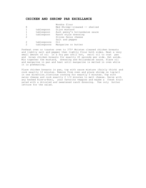#### **CHICKEN AND SHRIMP PAR EXCELLANCE**

| 8             |             | Wondra flour<br>Med Shrimp--cleaned -- shelled |
|---------------|-------------|------------------------------------------------|
| 1             | tablespoon  | Dijon mustard                                  |
| 1             | tablespoon  | Aunt penny's hollandaise sauce                 |
| 1             | tablespoon  | Ranch style dressing                           |
| $\mathcal{L}$ |             | Slices Swiss cheese                            |
|               |             | Salt and pepper                                |
| 2             | tablespoons | O <sub>1</sub> 1                               |
| 2             | tablespoons | Margarine or butter                            |
|               |             |                                                |

Preheat oven or toaster oven to 375\* Moisten cleaned chicken breasts and lightly salt and pepper then lightly flour both sides. Heat a very small amount of oil in a fry pan until hot, swirl oil to coat pan and brown chicken breasts for exactly 45 seconds per side. Set aside. Mix together the mustard, dressing and Hollandaise sauce. Place oil and margarine in pan and heat until margarine is melted in oven while it is preheating.

Place chicken breasts in pan, top with sauce mixture (fairly thick) and cook exactly 12 minutes. Remove from oven and place shrimp on top(all in one direction.)Continue cooking for exactly 5 minutes. Top with swiss cheese and cook exactly 2 1/2 minutes to melt cheese. Serve with any herbed Rice-a-Roni, your favorite veggies and maybe a fresh fruit salad with a drizzled and sweetened ranch dressing. Use only butter lettuce for the salad.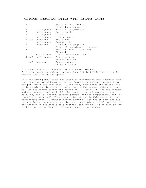#### **CHICKEN SZECHUAN-STYLE WITH SESAME PASTE**

|             | Whole chicken beasts<br>Skinned and boned  |
|-------------|--------------------------------------------|
| tablespoons | Szechuan peppercorns                       |
| tablespoons | Sesame paste                               |
| tablespoons | Green tea                                  |
| tablespoons | Wine vinegar                               |
| teaspoons   | Soy sauce                                  |
| tablespoons | Peanut oil                                 |
| teaspoons   | Crushed red pepper *                       |
|             | Slices fresh ginger -- minced              |
|             | Scallion (white part only)                 |
|             | Chopped                                    |
| milliliters | Garlic -- minced fine                      |
|             | Dry sherry or                              |
|             | Shaoshing wine                             |
| teaspoon    | Cayenne pepper                             |
|             | Lettuce leaves                             |
|             | $2\frac{1}{2}$<br>1 1/2 tablespoons<br>1/2 |

\* or you substitute 2 whole chili peppers, crushed. In a pot, poach the chicken breasts in a little boiling water for 10 minutes until white and opaque.

In a dry frying pan, toast the Szechuan peppercorns over moderate heat, then crust or grind them; set aside. Remove the chicken breasts from the pot, drain and cool them. Slice them, then shred the slices into julienne pieces. In a mixing bowl, combine the sesame paste and green tea (or the peanut butter and sesame oil -- See NOTE). Add the vinegar and soy sauce; blend well. Add the peanut oil, red pepper, ginger, scallion, garlic, sherry, cayenne pepper, and the peppercorns. Mix all ingredients very well. Toss the chicken strips in this sauce, to coat. Refrigerate until 20 minutes before serving. Pass the chicken and the lettuce leaves separately, and let each guest place a small portion of the chicken in the middle of a lettuce leaf and roll it up like an egg roll to eat using fingers. Makes 6 appetizer servings.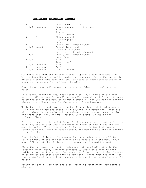#### **CHICKEN-SAUSAGE GUMBO**

| 1            |                 |              | Chicken -- cut into         |
|--------------|-----------------|--------------|-----------------------------|
|              |                 | 1/2 teaspoon | Cayenne pepper -- 10 pieces |
|              |                 |              | Salt                        |
|              |                 |              | frying                      |
|              |                 |              | Garlic powder               |
| 7            |                 |              | Chicken stock               |
|              |                 |              | Cayenne pepper              |
|              |                 | $\circ$ r    | canned                      |
| 1            |                 | C            | Onions -- finely chopped    |
|              |                 | $1/2$ pound  | Andouille smoked            |
| $\mathbf{1}$ |                 | $\cap$       | Green bell pepper           |
|              |                 |              | cut into -- finely chopped  |
|              | $3/4$ C         |              | Celery -- finely chopped    |
|              |                 |              | note about                  |
|              | $1 \; 1/4 \; c$ |              | Flour                       |
|              |                 |              | ingredient)                 |
|              |                 | 1/2 teaspoon | Salt                        |
| 1            |                 | teaspoon     | Garlic                      |
|              |                 | 1/2 teaspoon | Garlic powder               |

Cut extra fat from the chicken pieces. Sprinkle each generously on both sides with salt, garlic powder and cayenne, rubbing the spices in after all three have been applied. Let stand at room temperature while you chop the vegetables and heat the oil.

Chop the onions, bell pepper and celery, combine in a bowl, and set aside.

In a large, heavy skillet, heat about 1 to 1 1/2 inches of oil until very hot 375 degrees F. to 400 degrees F. Leave about 1/2 inch of space below the top of the pan, so it won't overflow when you add the chicken pieces later. Use a deep fry thermometer if you have one.

While the oil is heating, combine the flour, about  $1/2$  t salt, about  $1/2$  t garlic powder and about  $1/2$  t cayenne in a paper bag. When the oil is almost hot enough, add the chicken pieces one or two at a time and shake until they are well-coated. Save about 1/2 cup of the leftover flour.

Put the stock in a large kettle or Dutch oven and begin heating it to a boil. Fry the chicken until the crust is brown on both sides and the meat is cooked. This takes about 6 minutes a side for light meat, a bit longer for dark. Drain on paper towels. You may have to fry the chicken in two batches.

Pour the hot oil into a glass measuring cup, being very careful to leave as many of the browned particles as possible in the pan. Pour about 1/2 cup of the oil back into the pan and discard the rest.

Place the pan over high heat. Using a whisk, gradually stir in the leftover flour. Cook, whisking constantly, until this roux is dark red-brown (about 4 minutes). Be very careful not to scorch the mixture, or to splash any onto your skin as you stir. Remove from the heat, add the vegetable mixture all at once and stir until the vegetables are all coated.

Return the pan to low heat and cook, stirring constantly, for about 5 minutes.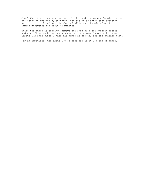Check that the stock has reached a boil. Add the vegetable mixture to the stock in spoonfuls, stirring with the whisk after each addition. Return to a boil and stir in the andouille and the minced garlic. Simmer uncovered for about 45 minutes.

While the gumbo is cooking, remove the skin from the chicken pieces, and cut off as much meat as you can. Cut the meat into small pieces (about 1/2 inch cubes). When the gumbo is cooked, add the chicken meat.

For an appetizer, use about 1 T of rice and about 3/4 cup of gumbo.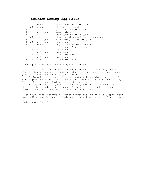### **Chicken-Shrimp Egg Rolls**

| 1/2          | pound             | chicken breasts -- minced         |
|--------------|-------------------|-----------------------------------|
|              | $1/2$ pound       | shrimp -- minced                  |
| 8            |                   | qreen onions -- minced            |
| $\mathbf{1}$ | tablespoon        | vegetable oil                     |
|              | cup               | bean sprouts -- chopped           |
| 1/2          | cup               | Chinese waterchestnuts -- chopped |
|              | tablespoon        | fresh ginger root -- grated       |
|              | 1 1/2 tablespoons | sov sauce                         |
| $\mathbf{1}$ | pound             | eggroll skins -- *see note        |
|              |                   | - -- Sweet-Sour Sauce: --         |
| 1/2          | cup               | brown sugar                       |
| 2            | tablespoons       | cornstarch                        |
| 1/2          | cup               | cider vinegar                     |
| 2            | tablespoons       | soy sauce                         |
| $1 \t1/2$    | cups              | pineapple juice                   |
|              |                   |                                   |

\* Use eggroll skins of about 6-1/2 by 7 inches

 1. Saute chicken, shrimp and onion in hot oil. Stir-fry for 3 minutes. Add bean sprouts, waterchestnuts, ginger root and soy sauce. (Use low-sodium soy sauce if you wish.)

 2. To make rolls, spread 1 tablespoon filling along one side of each eggroll skin. Fold over ends of skin and roll up like jelly roll, folding in the ends. Seal with a little water.

 3. Fry in hot fat (about 375 degrees) for about 6 minutes or until skin is crisp, bubbly and browned. Cut each roll in half or leave whole. Serve as an appetizer with sweet-sour sauce.

Sweet-sour sauce: Combine all sauce ingredients in small saucepan. Cook over medium heat for about 10 minutes or until sauce is thick and clear.

Yield: about 20 rolls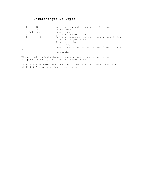# **Chimichangas De Papas**

|       | lb   | potatoes, mashed -- coarsely (4 large)                                                                      |
|-------|------|-------------------------------------------------------------------------------------------------------------|
| 5     | OZ   | queso fresco                                                                                                |
| 2/3   | cup  | sour cream                                                                                                  |
| 5     |      | green onions -- sliced                                                                                      |
|       | or 2 | jalapeno peppers, roasted -- peel, seed & chop<br>salt and pepper to taste<br>flour tortillas<br>oil to fry |
| salsa |      | sour cream, green onions, black olives, -- and                                                              |
|       |      | to garnish                                                                                                  |
|       |      |                                                                                                             |

Mix coarsely mashed potatoes, cheese, sour cream, green onions, jalapenos to taste, and salt and pepper to taste.

Fill tortillas fold into a package. Fry in hot oil (one inch in a skillet.) Drain, garnish and serve hot.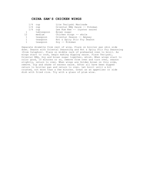#### **CHINA SAM'S CHICKEN WINGS**

|    | 1/4            | cup        | Lite Teriyaki Marinade        |
|----|----------------|------------|-------------------------------|
|    | 1/4            | cup        | Oriental BBQ Sauce -- Kikoman |
|    | 1/4            | cup        | Lee Kum Kee -- (oyster sauce) |
|    | $\overline{1}$ | tablespoon | Brown sugar                   |
| 12 |                | medium     | Chicken wings -- whole        |
|    | $\mathbf{1}$   | teaspoon   | Oriental Season -- Amyway     |
|    | $\mathbf{1}$   | teaspoon   | Hot & Spicy Stir Fry Season   |
|    | 1              | teaspoon   | Soy -- Kikoman                |
|    |                |            |                               |

Separate drumette from rest of wing. Place on broiler pan skin side down. Season with Oriental Seasoning and Hot & Spicy Stir Fry Seasoning (from Calaphon). Place on middle rack of preheated oven to broil. As wings start to cook, begin making dipping sauce. Place Teriyaki, Oriental BBQ, Soy and brown sugar together, whisk. When wings start to color good, 10 minutes or so, remove from oven and turn over, season slightly, return to oven. When wings are Golden brown on this side, remove. Dip and shake of excess sauce. After all have been dipped return to broiler pan and return to oven. Let broil until a bit crusted, not more than a few minutes. Great as an appetizer or side dish with fried rice. Try with a glass of plum wine.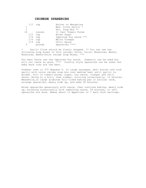### **CHINESE SPARERIBS**

| 1/2 | cup    | Butter or Margarine    |
|-----|--------|------------------------|
|     |        | Med. Clove Garlic *    |
| 1   |        | Env. Soup Mix **       |
| 16  | ounces | (1 Can) Tomato Puree   |
| 1/2 | cup    | Brown Sugar            |
| 1/4 | cup    | Imported Soy Sauce *** |
| 1/4 | cup    | White Vinegar          |
| 1/4 | cup    | Chili Sauce            |
| .5  | pounds | Spareribs ****         |

\* Garlic Clove should be finely chopped. \*\* You can use the following soup mixes in this recipe: Onion, Onion- Mushroom, Beefy-Mushroom, Beefy-Onion recipe Soup Mixes. \*\*\*

For best Taste use the Imported Soy sauce. Domestic can be used but will not taste as good. \*\*\*\* Country style spareribs can be used, but baby back ribs are the best.

Preheat oven to 375 degrees F. In large saucepan, melt butter and cook garlic with onion recipe soup mix over medium heat until garlic is golden. Stir in tomato puree, sugar, soy sauce, vinegar and chili sauce. Bring to a boil, then simmer, stirring occasionally, 15 minutes. Meanwhile,in large aluminum foil-lined baking pan or broiler rack, arrange spareribs, meaty side up, and bake 20 minutes.

Brush spareribs generously with sauce, then continue baking, meaty side up, brushing occasionally with remaining sauce, 50 minutes, or untl spareribs are done. Makes about 12 Appetizer or 7 main dish servings.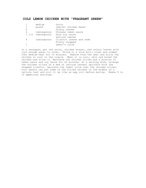#### **COLD LEMON CHICKEN WITH "FRAGRANT GREEN"**

|   | medium            | Onion                    |
|---|-------------------|--------------------------|
|   | pound             | (whole) chicken beast    |
| 6 |                   | Celery leaves            |
| 4 | tablespoons       | Chinese lemon sauce      |
|   | 1 1/2 tablespoons | Dark soy sauce           |
|   |                   | Lettuce leaves           |
| 4 | tablespoons       | Cilantro leaves and stem |
|   |                   | Finely chopped           |
|   |                   | Lemon's juice            |

In a saucepan, put the onion, chicken breast, and celery leaves with just enough water to cover. Bring to a slow boil; cover and simmer over medium heat for 10 minutes. Remove from the heat and allow the chicken to cool in the liquid. When it is cool, skin and boned the chicken and slice it. Marinate the chicken slices and a mixture of lemon sauce and soy sauce for 45 minutes. On a serving dish, arrange the chicken slices on a bed of lettuce leaves; sprinkle with the chopped cilantro. Sprinkle the lemon juice over the chicken slices. Your guests can put some of the sliced chicken in the middle of a lettuce leaf and roll it up like an egg roll before eating. Makes 8 to 10 appetizer servings.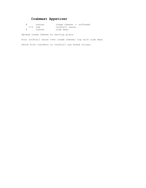# **Crabmeat Appetizer**

|           | ounces | cream cheese -- softened |  |
|-----------|--------|--------------------------|--|
| $1/4$ cup |        | cocktail sauce           |  |
|           | ounces | crab meat                |  |

Spread cream cheese on serving plate.

Pour cocktail sauce over cream cheese; top with crab meat Serve with crackers or cocktail rye bread slices.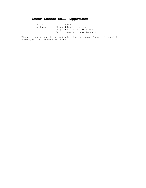# **Cream Cheese Ball (Appetizer)**

| 16 | ounces   | Cream cheese                     |
|----|----------|----------------------------------|
|    | packages | Chipped beef $--$ minced         |
|    |          | Chopped scallions $--$ (amount t |
|    |          | Garlic powder or garlic salt     |

Mix softened cream cheese and other ingredients. Shape. Let chill overnight. Serve with crackers.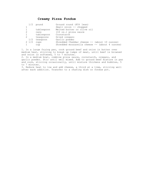## **Creamy Pizza Fondue**

|   | 1/2             | pound      | Ground round (85% lean)                           |
|---|-----------------|------------|---------------------------------------------------|
|   |                 |            | Small onion -- chopped                            |
|   |                 | tablespoon | Melted butter or olive oil                        |
| 2 |                 | cans       | (10 oz.) pizza sauce                              |
|   |                 | tablespoon | Cornstarch                                        |
| 2 |                 | teaspoons  | Dried oregano                                     |
|   | 1/2             | teaspoon   | Garlic powder                                     |
|   | $2 \frac{1}{2}$ | cups       | Shredded Cheddar cheese $-$ (about 10 ounces)     |
|   |                 | cup        | Shredded mozzarella cheese $-$ - (about 4 ounces) |

1. In a large frying pan, cook ground beef and onion in butter over medium heat, stirring to break up lumps of meat, until beef is browned and onion is softened, 5 to 7 minutes.

2. In a medium bowl, combine pizza sauce, cornstarch, oregano, and garlic powder. Stir until well mixed. Add to ground beef mixture in pan and cook, stirring occasionally, until mixture thickens and bubbles, 5 to 7 minutes.

3. Reduce heat to low and add cheese, a third at a time, stirring well after each addition. Transfer to a chafing dish or fondue pot.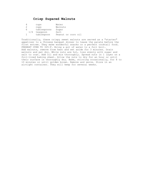## **Crisp Sugared Walnuts**

|     | cups        | Water              |
|-----|-------------|--------------------|
|     | cups        | Walnuts            |
| რ   | tablespoons | Sugar              |
| 1/4 | teaspoon    | Salt               |
|     | tablespoon  | Peanut or corn oil |

Traditionally, these crispy sweet walnuts are served as a "starter" appetizer to a Chinese banquet dinner to tease the palate before the first entree. They make wonderful snacks or a perfect cocktail food. PREHEAT OVEN TO 325~F. Bring a pot of water to a full boil. Add walnuts, remove from heat and set aside for 3 minutes. Drain walnuts and pat dry. While nuts are hot, toss evenly with sugar and salt to coat. Add oil and mix thoroughly. Spread nuts in 1 layer on a foil-lined baking sheet. Allow the nuts to dry for an hour or until their surface is thoroughly dry. Bake, stirring occasionally, for 8 to 10 minutes or until golden brown. Remove and serve. Store in an airtight container. They will keep for several weeks.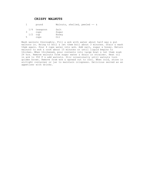## **CRISPY WALNUTS**

1 pound Walnuts, shelled, peeled -- &

| 1/4 | teaspoon | Salt  |
|-----|----------|-------|
|     | cups     | Sugar |
| 1/2 | cup      | Honey |
|     | cups     | ∩i 1  |

Wash walnuts thoroughly. Fill a wok with water about half way & put walnuts in. Bring to boil & let them boil about 3 minutes. Drain & wash them again. Pour 4 cups water into wok. Add salt, sugar & honey. Return walnuts to wok & cook about 15 minutes or until liquid begins to thicken. When thickened, pour contents into large bowl & let them soak 24 hrs. Remove walnuts from sugar water & drain in strainer. Heat oil in wok to 350 F & add walnuts. Stir occasionally until walnuts turn golden brown. Remove from wok & spread out to cool. When cold, store in airtight container or jar to maintain crispness. Delicious served as an appetizer with drinks.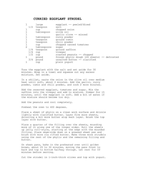#### **CURRIED EGGPLANT STRUDEL**

|   |     | large        | eqqplant -- peeled/diced                     |
|---|-----|--------------|----------------------------------------------|
|   |     | 1/2 teaspoon | salt                                         |
|   |     | cup          | chopped onion                                |
|   |     | tablespoon   | olive oil                                    |
|   |     |              | qarlic clove -- minced                       |
|   |     | tablespoon   | curry powder                                 |
|   |     | teaspoon     | ground cumin                                 |
|   |     | teaspoon     | chili powder                                 |
|   |     | cup          | chopped canned tomatoes                      |
| 2 |     | tablespoons  | sugar                                        |
|   | 1/4 | teaspoon     | ground saffron                               |
|   | 1/4 | cup          | vinegar                                      |
|   | 1/2 | cup          | roasted peanuts -- chopped                   |
|   |     | pound        | frozen phyllo dough (24 sheets) -- defrosted |
|   | 3/4 | pound        | unsalted butter -- clarified                 |
|   |     | cup          | plain yogurt                                 |

Toss the eggplant with the salt and set aside for 30 minutes. Wrap in a towel and squeeze out any excess moisture. Set aside.

In a skillet, saute the onion in the olive oil over medium heat until soft, about 2 minutes. Add the garlic, curry powder, cumin and chili powder, and cook 2 more minutes.

Add the reserved eggplant, tomatoes and sugar. Mix the saffron into the vinegar and add to mixture. Simmer for 15 minutes, until the eggplant is soft. Add a bit of water if the mixture should become too dry.

Add the peanuts and cool completely.

Preheat the oven to 400 degrees.

Place a sheet of phyllo on a clean work surface and drizzle lightly with clarified butter. Layer five more sheets, drizzling a bit more butter atop each layer. Brush the top layer with butter.

Place a quarter of the filling over the sheets, mounding more of it along one of the longer sides. Roll the sheets up jelly roll-style, starting at the edge with the mounded filling. Place seam-side down on a greased sheet pan and brush with more cla rified butter. Make three more strudels using the rest of the phyllo and the remaining filling and butter.

On sheet pans, bake in the preheated oven until golden brown, about 25 to 30 minutes, moving the pans front to back and top to bottom halfway through. Let rest for 10 minutes before serving.

Cut the strudel in 1-inch-thick slices and top with yogurt.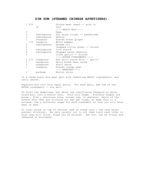#### **DIM SUM (STEAMED CHINESE APPETIZERS).**

| $1 \frac{3}{4}$ |              | Ground meat (beef -- pork or   |
|-----------------|--------------|--------------------------------|
|                 | οf           | two)                           |
|                 |              | -----BASIC MIX-----            |
| 2               |              | Eqqs                           |
| 3               | tablespoons  | Soy sauce (light -- preferred) |
| $\frac{3}{1}$   | tablespoons  | Sherry                         |
|                 | teaspoon     | Grated fresh ginger            |
|                 | 1/2 teaspoon | White pepper                   |
| 2               | tablespoons  | Sesame oil                     |
| 3               |              | Chopped little green -- onions |
| 2               | tablespoons  | Corn starch                    |
| 4               | tablespoons  | Chopped water chestnut         |
| 3               |              | Clove garlic -- minced         |
|                 |              | -----EXTRA CONDIMENTS-----     |
| $1 \t1/2$       | teaspoons    | Red chili sauce with -- garlic |
| 2               | teaspoons    | Spicy brown bean sauce         |
| 3               | teaspoons    | Hosin sauce                    |
| 1               | teaspoon     | Grated orange peel             |
|                 |              | -----WRAPPER-----              |
|                 | package      | Wonton skins                   |

in a large bowl, mix meat well with remaining BASIC ingredients. mix until smooth.

Separate mix into four equal parts. For each part, add one of the EXTRA condiments -- mix well.

To stuff the dumplings, put about one overflowing teaspoon or pecan sized ball into a wonton skin. Fold into shape. Possible shapes are purse , fish , chocolate kiss, nurses cap, or whatever. Parts of the wonton skin that are sticking out may get tough, so keep this to a minimum. Use a different shape for each condiment so that you will know what is what.

To cook, place on top of lettuce leaf on steam rack ( the leaf helps prevent sticking). Be very careful not to let them touch each other or else they will stick. Steam for 20 minutes. Eat hot. Can be frozen and reheated in microwave.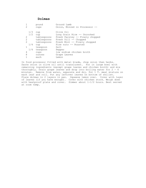### **Dolmas**

| $\mathcal{D}$                                                      | pound<br>cups                                                                                                    | Ground Lamb<br>Onion, Minced in Processor --                                                                                                                                                                                        |
|--------------------------------------------------------------------|------------------------------------------------------------------------------------------------------------------|-------------------------------------------------------------------------------------------------------------------------------------------------------------------------------------------------------------------------------------|
| 1/3<br>1/2<br>2<br>2<br>$\mathcal{P}$<br>1/4<br>1<br>1/4<br>4<br>8 | cup<br>cup<br>tablespoons<br>tablespoons<br>tablespoons<br>cup<br>teaspoon<br>teaspoon<br>cups<br>ounces<br>each | Olive Oil<br>Long Grain Rice -- Uncooked<br>Fresh Parsley -- Finely chopped<br>Fresh Dill -- Chopped<br>Fresh Mint -- Finely chopped<br>Pine nuts -- Roasted<br>Salt<br>Pepper<br>low sodium chicken broth<br>Grape Leaves<br>Lemon |
|                                                                    |                                                                                                                  |                                                                                                                                                                                                                                     |

In food processor fitted with metal blade, chop onion then herbs. Saute onion in olive oil until translucent. Put in large bowl with remaining ingredients (except grape leaves and chicken broth) and mix thoroughly. Drain grape leaves and drop into boiling water for  $2 - 4$ minutes. Remove from water, separate and dry. Put 1 T. meat mixture on each leaf and roll. Put any leftover leaves on bottom of skillet. Place dolmas in 2 layers in pan. Squeeze lemon over. Cover with layer of leaves (if you have enough). Cover with chicken stock. Weigh down with heatproof plate and cover. Simmer about 1-1/2 hours. Best served at room temp.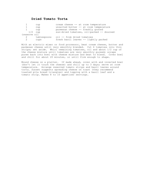## **Dried Tomato Torta**

|              | cup         | cream cheese -- at room temperature       |
|--------------|-------------|-------------------------------------------|
|              | cup         | unsalted butter -- at room temperature    |
|              | cup         | parmesan cheese -- freshly grated         |
|              | $1/2$ cup   | sun-dried tomatoes, oil-packed -- drained |
| (reserve oil |             |                                           |
| 2            | tablespoons | oil -- from dried tomatoes                |
| 2            | cups        | fresh basil leaves -- lightly packed      |

With an electric mixer or food processor, beat cream cheese, butter and parmesan cheese until very smoothly blended. Cut 4 tomatoes into thin strips; set aside. Whirl remaining tomatoes, oil and about 1/2 cup of the cheese mixture until tomatoes are very smoothly pureed; scrape puree back into bowl with cheese mixture and beat to blend. Cover bowl and chill for about 20 minutes, or until firm enough to shape.

Mound cheese on a platter. If made ahead, cover with and inverted bowl (don't let it touch the cheese) and chill up to 3 days; serve at room temperature. Arrange reserved tomato strips and basil leaves around torta. Sunset suggests spreading cheese on toast (they recommend toasted pita bread triangles) and topping with a basil leaf and a tomato strip. Makes 8 to 10 appetizer servings.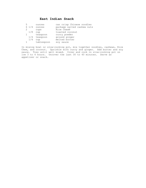## **East Indian Snack**

| 5 |     | ounces                | can crisp Chinese noodles  |
|---|-----|-----------------------|----------------------------|
|   |     | $6\frac{1}{4}$ ounces | package salted cashew nuts |
|   |     | cups                  | Rice Chex®                 |
|   | 1/8 | cup                   | toasted coconut            |
|   |     | teaspoon              | curry powder               |
|   | 1/4 | teaspoon              | ground ginger              |
|   | 1/4 | cup                   | melted butter              |
|   |     | tablespoon            | soy sauce                  |
|   |     |                       |                            |

In mixing bowl or slow-cooking pot, mix together noodles, cashews, Rice Chex, and coconut. Sprinkle with curry and ginger. Add butter and soy sauce. Toss until well mixed. Cover and cook in slow-cooking pot on low 3 to 4 hours. Uncover the last 30 to 40 minutes. Serve as appetizer or snack.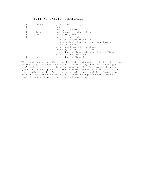### **EDITH'S SWEDISH MEATBALLS**

|   | pound  | ground beef (lean)                        |
|---|--------|-------------------------------------------|
|   |        | egg                                       |
| 3 | stalks | celery diced -- fine                      |
|   | large  | bell pepper -- diced fine                 |
|   | small  | onion -- grated                           |
|   |        | potato -- grated                          |
|   |        | salt and pepper -- to taste               |
|   |        | slightly less than one small can tomato   |
|   |        | sauce (8 ounces)                          |
|   |        | (you do not want the mixture              |
|   |        | to soupy so add a little at a time)       |
|   |        | crushed corn flakes mixed with some flour |
|   |        | (about 2 tbs flour to                     |
|   | cup    | crushed corn flakes)                      |

Mix first seven ingredients well. Add tomato sauce a little at a time, mixing well. Mixture should be a little mushy but not soupy, (you can't roll them into balls using your hands). Use two small spoons (such as ice tea spoons) to drop mixture into corn flake mixture. Coat each meatball well. Fry in very hot oil (1/4 inch) in a large heavy skillet until brown on all sides. Drain on paper towels. Note: vegetables can be prepared in a food processor.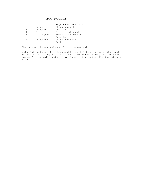## **EGG MOUSSE**

|   |            | Eggs -- hard-boiled   |
|---|------------|-----------------------|
| 5 | ounces     | Chicken stock         |
|   | teaspoon   | Gelatine              |
|   |            | $C$ ream $--$ whipped |
|   | tablespoon | Worcestershire sauce  |
|   |            | Paprika               |
|   | teaspoons  | Anchovy essence       |
|   |            | Salt                  |

Finely chop the egg whites. Sieve the egg yolks.

Add gelatine to chicken stock and heat until it dissolves. Cool and allow mixture to begin to set. Put stock and seasoning into whipped cream. Fold in yolks and whites, place in dish and chill. Decorate and serve.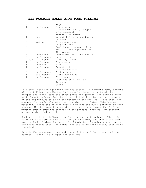#### **EGG PANCAKE ROLLS WITH PORK FILLING**

| 4              |                | Eggs                       |
|----------------|----------------|----------------------------|
| $\mathbf{1}$   | tablespoon     | Dry sherry                 |
|                |                | Carrots -- finely chopped  |
|                |                | (for garnish)              |
|                |                | $---FILLING---$            |
| $\mathbf{1}$   | cup            | (about 1/2 lb) ground pork |
|                |                | Uncooked                   |
| 2              | medium         | Fresh mushrooms            |
|                |                | Chopped fine               |
| $\overline{2}$ |                | Scallions -- chopped fine  |
|                |                | (white parts separate from |
|                |                | The green)                 |
| 2              | teaspoons      | Cornstarch -- dissolved in |
| $\overline{2}$ | tablespoons    | Water -- cold              |
|                | 1/2 tablespoon | Dark soy sauce             |
| $\mathbf 1$    | tablespoon     | Dry sherry                 |
| $\mathbf 1$    | teaspoon       | Salt                       |
| $\mathbf{1}$   | tablespoon     | Peanut oil                 |
|                |                | $---SAUCE---$              |
| 2              | tablespoons    | Oyster sauce               |
| $\mathbf{1}$   | tablespoon     | Light soy sauce            |
| $\mathbf{1}$   | tablespoon     | Plum sauce                 |
|                |                | Dash hot chili oil or      |
|                |                | Tabasco                    |
|                |                | Sauce                      |
|                |                |                            |

In a bowl, stir the eggs with the dry sherry. In a mixing bowl, combine all the filling ingredients, include only the white parts of the chopped scallions (save the green parts for garnish) and stir to blend well. In a 8-inch skillet, heat the oil lightly. Pour about a quarter of the egg mixture to cover the bottom of the skillet. Heat until the egg pancake has barely set, then transfer to a plate. Make 3 more pancakes. Divide the filling into 4 portions and put a portions on each pancake. Moisten your fingers with cold water and spread the filling mixture evenly over the surface of the pancake, then roll up tightly, as you would a jelly roll.

Seal with a little leftover egg from the egg-beating bowl. Place the rolls on a flat plate that will fit your steamer, and then steam them over an inch of simmering water for 15 minutes. In a bowl, mix together the sauce ingredients. To serve, cut the rolls into slices, cutting on the slant.

Drizzle the sauce over them and top with the scallion greens and the carrots. Makes 6 to 8 appetizer servings.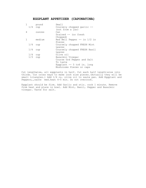## **EGGPLANT APPETIZER (CAPONATINA)**

|              | pound  | Small                                            |
|--------------|--------|--------------------------------------------------|
|              |        | Coursely chopped garlic --                       |
|              |        | (not from a jar)                                 |
|              | ounces | Can                                              |
|              |        | Drained $--$ (or fresh                           |
|              |        | Chopped)                                         |
| $\mathbf{1}$ | medium | Red Bell Pepper -- in 1/2 in                     |
|              |        | Pieces                                           |
|              |        | Coursely chopped FRESH Mint                      |
|              |        | Leaves                                           |
| 1/4          | cup    | Coursely chopped FRESH Basil                     |
|              |        | Leaves                                           |
|              |        | Olive oil                                        |
|              |        | Basalmic Vinegar                                 |
|              |        | Course Grd Pepper and Salt                       |
|              |        | To taste                                         |
|              |        | Eqqplant $--$ 5 to6 in. long                     |
|              |        | Mushrooms Pieces or caps                         |
|              |        | $1/4$ cup<br>$1/4$ cup<br>$1/4$ cup<br>$1/3$ cup |

Cut lengthwise, all eggplants in half. Cut each half length-wise into thirds. Cut cross ways to make inch size pieces.(Actually they will be small triangles.) Add 1/4 cu. olive oil to saute pan. Add Eggplant and Peppers,, saute med.heat 4-5 min. Do not overcook.

Eggplant should be firm. Add Garlic and stir. cook 1 minute. Remove from heat and place in bowl. Add Mint, Basil, Pepper and Basalmic vinegar. Taste for salt.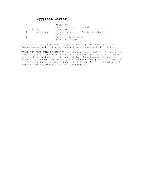# **Eggplant Caviar**

| 1/3 | cup        | Eqqplants<br>Garlic cloves -- minced<br>Olive oil |
|-----|------------|---------------------------------------------------|
|     | tablespoon | Minced parsley -- (or Onion, Basil or             |
|     |            | Anchovies)                                        |
|     |            | Lemon $--$ juice only                             |
|     |            | Salt and pepper                                   |

This makes a dip that is delicious on raw vegetables or spread on French bread, and is good as an appetizer, snack or light lunch.

HALVE THE EGGPLANTS LENGTHWISE and place under a broiler, 2 inches from the flame. Broil for 50 minutes, turning once, until very soft. Scoop out the flesh and discard the seed strips. Pass through the coarse blade of a food mill or coarsely mash by hand. Add garlic to taste (be careful, the taste becomes stronger with time). Beat in the olive oil. Add the parsley, lemon juice, salt and pepper.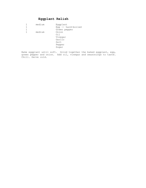# **Eggplant Relish**

|   | medium | Eggplant           |
|---|--------|--------------------|
|   |        | Egg -- hard-boiled |
| 1 |        | Green pepper       |
|   | medium | Onion              |
|   |        | Oil                |
|   |        | Vinegar            |
|   |        | Garlic             |
|   |        | Salt               |
|   |        | Pepper             |
|   |        | Sugar              |
|   |        |                    |

Bake eggplant until soft. Grind together the baked eggplant, egg, green pepper and onion. Add oil, vinegar and seasonings to taste. Chill. Serve cold.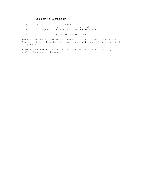## **Ellen's Boursin**

| 8.       | ounces     | Cream cheese                 |
|----------|------------|------------------------------|
|          |            | Garlic cloves -- peeled      |
| $-1$ $-$ | tablespoon | Each fresh basil -- dill and |
|          |            | Black olives -- pitted       |

Blend cream cheese, garlic and herbs in a food processor until smooth. Chop in olives. Transfer to a small bowl and keep refrigerated until ready to serve.

Boursin is generally served as an appetizer spread on crackers, or stuffed into cherry tomatoes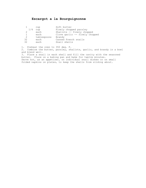# **Escargot a la Bourguignonne**

|     | cup         | Soft butter                    |
|-----|-------------|--------------------------------|
| 1/4 | cup         | Finely chopped parsley         |
| 2   | each        | Shallots -- finely chopped     |
|     | each        | Clove garlic -- finely chopped |
| 2   | tablespoons | Brandy                         |
| 32  | each        | Canned French snails           |
| 32  | each        | Snail shells                   |

1. Preheat the oven to 350 deg. F. 2. Combine the butter, parsley, shallots, garlic, and brandy in a bowl and blend well. 3. Place a snail in each shell and fill the cavity with the seasoned butter. Place on a baking pan and bake for twelve minutes. Serve hot, as an appetizer, on individual snail dishes or on small folded napkins on plates, to keep the shells from sliding about.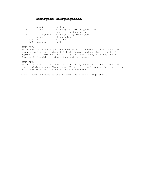## **Escargots Bourguignonne**

|    |     | pounds      | butter                       |
|----|-----|-------------|------------------------------|
| 8  |     | cloves      | fresh garlic -- chopped fine |
| 48 |     |             | snails -- with shells        |
| 2  |     | tablespoons | fresh parsley -- chopped     |
| 3  |     | ounces      | chicken broth                |
|    | 1/4 | cup         | Madeira                      |
|    | 1/2 | teaspoon    | salt                         |

STEP ONE: Place butter in saute pan and cook until it begins to turn brown. Add chopped garlic and saute until light brown. Add snails and saute for approximately 1 minute. Add parsley, chicken broth, Madeira, and salt. Cook until liquid is reduced to about one-quarter.

STEP TWO: Place a little of the sauce in each shell, then add a snail. Reserve the remaining sauce. Place in a 425-degree oven long enough to get very hot. Pour reserved sauce over snails and serve.

CHEF'S NOTE: Be sure to use a large shell for a large snail.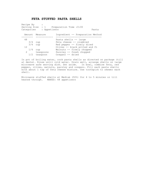#### **FETA STUFFED PASTA SHELLS**

Recipe By Serving Size : 1 Preparation Time : 0:00 Categories : Appetizers **Pasta**  Amount Measure Ingredient -- Preparation Method -------- ------------ -------------------------------- 48 Pasta shells -- large<br>3/4 cup Feta cheese -- crumble 3/4 cup Feta cheese -- crumbled<br>3/4 cup Red pepper -- finely die 3/4 cup red cheese -- crumpled<br>3/4 cup Red pepper -- finely diced<br>12 0lives -- black pitted and Olives -- black pitted and fi 1/4 cup Walnuts -- finely chopped 2 teaspoons Parsley -- fresh chopped 1/2 teaspoon Oregano -- dried

In pot of boiling water, cook pasta shells as directed on package (till al dente). Rinse until cold water. Drain well, arrange shells on large microwave safe serving dish. Set aside. In bowl, combine feta, red pepper, olives, walnuts, parsley and oregano. Fill each pasta shells with about 1 tsp of feta cheese mixture. Use toothpick to skewer each shell.

Microwave stuffed shells at Medium (50%) for 4 to 5 minutes or till heated through. MAKES: 48 appetizers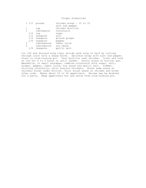Finger Drumsticks

|               | $1\frac{1}{2}$ pounds | chicken wings - 12 to 15 |
|---------------|-----------------------|--------------------------|
|               |                       | salt and pepper          |
|               | cup                   | chicken bouillon         |
|               | tablespoon            | cornstarch               |
| 1/4           | cup                   | sugar                    |
| 1/2           | teaspoon              | salt                     |
| 1/4           | teaspoon              | ground ginger            |
| 1/8           | teaspoon              | pepper                   |
| 3             | tablespoons           | lemon juice              |
| $\mathcal{L}$ | tablespoons           | soy sauce                |
| 1/8           | teaspoon              | garlic salt              |

Cut off and discard wing tips; divide each wing in half by cutting through joint with a sharp knife. Sprinkle wings with salt and pepper. Place in slow-cooking pot. Pour bouillon over chicken. Cover and cook on low for 4 to 5 hours or until tender. Drain; place on broiler pan. Meanwhile, in small saucepan, combine cornstarch with sugar, salt, ginger, pepper, lemon juice, soy sauce and garlic salt. Simmer, stirring constantly, until mixture thickens. Brush some sauce on chicken; brown under broiler. Turn; brush sauce on chicken and brown other side. Makes about 25 to 30 appetizers. Recipe may be doubled for a party. Keep appetizers hot and serve from slow-cooking pot.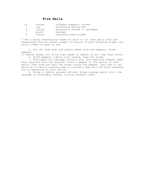|   | ounces | jalapeno peppers, canned      |
|---|--------|-------------------------------|
|   | cup    | buttermilk baking mix         |
| 6 | ounces | mozzarella cheese -- shredded |
|   | pound  | sausage                       |
| 6 | ounces | seasoned bread crumbs         |

\* Use a spicy breading mix made for pork or for less spicy dish use unseasoned fine dry bread crumbs. A mixture of pork breading crumbs and plain crumbs is good to use.

 1. Cut off stem ends and remove seeds from the peppers. Rinse peppers

to remove seeds, but allow some seeds to remain if you like them hotter. 2. Stuff peppers lightly with cheese, then set aside.

 3. Thoroughly mix sausage, biscuit mix, and remaining cheese. Make small patties from the mixture. Place a pepper in the center of each patty, then wrap and seal the dough around the pepper. Coat one or two balls at a time by shaking them in a plastic bag with the pork breading mix or seasoning of your choice.

 4. Using a lightly greased skillet, brown sausage balls until the sausage is thoroughly cooked, turning several times.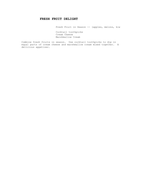## **FRESH FRUIT DELIGHT**

Fresh Fruit in Season -- (apples, melons, kiw

 Cocktail toothpicks Cream Cheese Marshmallow Cream

Combine fresh fruits in season. Use cocktail toothpicks to dip in equal parts of cream cheese and marshmallow cream mixed together. A delicious appetizer.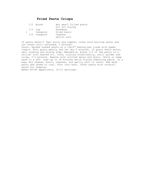## **Fried Pasta Crisps**

|  | $1/2$ pound  | Any small filled pasta |
|--|--------------|------------------------|
|  |              | Oil for frying         |
|  | $1/3$ cup    | Parmesan               |
|  | teaspoon     | Dried basil            |
|  | 1/8 teaspoon | Cayenne                |
|  |              | Garlic salt            |

If pasta doesn't feel moist and supple, cover with boiling water and let stand until softened, 5 minutes.

Drain. Spread soaked pasta on a 10x15" baking pan lined with paper towels. Blot pasta gently and let dry 5 minutes. If pasta feels moist, omit soaking and drying step. Meanwhile, place 1/3 of the pasta in a skillet with heated oil. Cook, turning occasionally, until golden and crisp, 2-3 minutes. Remove with slotted spoon and drain. Serve or keep warm in a 200~ oven up to 30 minutes while frying remaining pasta. In a bag, mix cheese, basil, cayenne, and garlic salt to taste. Add warm pasta and shake to coat. Pour into bowl. Offer pasta with cocktail sauce for dipping.

Makes 60-80 appetizers, 10-12 servings.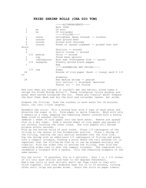#### **FRIED SHRIMP ROLLS (CHA GIO TOM)**

|                |              | -----ACCOMPANIMENTS-----                            |
|----------------|--------------|-----------------------------------------------------|
|                |              | Nuoc Cham                                           |
| $\mathbf{1}$   | bn           | Of mint                                             |
| $\mathbf{1}$   | bn           | Of coriander                                        |
|                |              | $---FILLING---$                                     |
| $\mathbf{1}$   | ounce        | Cellophane (bean thread) -- noodles                 |
| 4              | ounces       | Lean ground beef                                    |
| 4              | ounces       | Ground pork shoulder                                |
| 4              | ounces       | Fresh or canned crabmeat -- picked over and         |
| drain          |              |                                                     |
| 4              |              | Shallots -- minced                                  |
| 4              |              | Garlic cloves -- minced                             |
|                | 1/2 medium   | Onion -- minced                                     |
| $\mathbf{1}$   | cup          | Fresh bean sprouts                                  |
| $\overline{2}$ |              | tablespoons Nuoc mam (Vietnamese fish -- sauce)     |
|                | 1/4 teaspoon | Freshly ground black pepper                         |
| $\mathbf{1}$   |              | Egg                                                 |
|                |              | -----ASSEMBLING AND FRYING-----                     |
|                | $1/2$ cup    | Sugar                                               |
| 2.4            |              | Rounds of rice paper (banh $--$ trang) each 8 $1/2$ |
| in             |              |                                                     |
|                |              | diameter.                                           |
| 24             |              | Raw medium shrimp -- peeled                         |
|                |              | tail section -- attached, deveined                  |
|                |              | Peanut oil -- for frying                            |

And just when you thought it couldn't get any better, along comes a recipe for Fried Shrimp Rolls!!! These triangular little goodies are great when served alongside Cha Gio. These are \*really\* good! Prepare the Nuoc Cham. Wash and dry the mint and coriander leaves. Set aside.

Prepare the filling: Soak the noodles in warm water for 30 minutes. Drain. Cut into 1-inch lengths.

Assemble the rolls: Fill a mixing bowl with 4 cups of warm water and dissolve the sugar in it. Rice paper is quite fragile. Work with only 2 sheets at a time, keeping the remaining sheets covered with a barely damp cloth to prevent curling. Immerse 1 sheet of rice paper into the warm water. Remove and spread flat on a dry towel. Soak a second sheet of rice paper and spread it out without touching the other round. The rice papers will become pliable within seconds. Fold up the bottom third of each round. Place 1/2 tablespoon of the filling in the center of the folded-over portion. Place 1 shrimp in the filling, leaving the tail section extended over the fold line. Top the shrimp with an additional 1/2 tablespoon of filling and press into a compact triangle, forming a point where the tail extends (it is important that the filling be flat so it can be wrapped entirely and tightly). Fold the sides over to enclose the filling, then fold the remaining sides over to seal the compact triangle. The completed roll resembles a triangle with a handle. Fill the remaining wrappers in the same manner.

Fry the rolls: If possible, fry in 2 skillets. Pour 1 to 1 1/2 inches of oil into each skillet and heat to 325 degrees Fahrenheit. Add a few rolls to each skillet; don't let them touch or they will stick together. Cook over moderate heat for 10 to 12 minutes, turning often until crisp and golden brown. Drain the rolls on paper towels.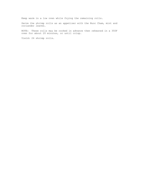Keep warm in a low oven while frying the remaining rolls.

Serve the shrimp rolls as an appetizer with the Nuoc Cham, mint and coriander leaves.

NOTE: These rolls may be cooked in advance then reheated in a 350F oven for about 20 minutes, or until crisp.

Yield: 24 shrimp rolls.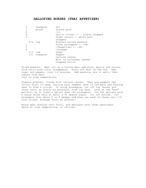#### **GALLOPING HORSES (THAI APPETIZER)**

|     | teaspoon | Oil                                   |
|-----|----------|---------------------------------------|
|     | pound    | Ground pork                           |
|     |          | $-tO$                                 |
|     |          | Garlic cloves -- - finely chopped     |
|     |          | Green onions -- white part<br>chopped |
| 3/4 |          | Roasted salted peanuts                |
|     |          | Fresh pineapple -- - OR-              |
|     |          | -Tangerines -- -OR-                   |
|     |          | $-Oranges$                            |
| 1/3 |          | Sugar                                 |
|     |          | Pepper                                |
|     |          | Lettuce leaves                        |
|     |          | Mint or coriander leaves              |
|     |          | Chopped chilis                        |
|     |          | cup<br>cup<br>1/2 teaspoon            |

Grind peanuts. Heat oil in a frying pan, add pork, garlic and onions. Cook until pink color disappears. Drain off most of the fat. Add sugar and pepper, cook 1-2 minutes. Add peanuts, mix in well, then remove from heat. Cool to room temperature.

Prepare platter, lining with lettuce leaves. Peel and segment the citrus fruit if used, cutting each segment down to the back and fanning open to form a circle. If using pineapple, cut off top leaves and outer skin, as thinly as possible, from top down. Look at the "eye" pattern, as it forms a spiral down the pineapple. Cut the spirals with a sharp knife held at about a 45 degree angle. Cut off bottom. Cut pineapple into about 5 or 6 wedges and then cut each of those into 1/4 inch slices. Arrange fruit on platter.

Mound meat mixture onto fruit, and decorate with other garnishes. Serve at room temperature, or chilled.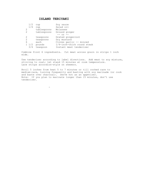## **ISLAND TERIYAKI**

- 1990 - 1990 - 1990 - 1990 - 1990 - 1990 - 1990 - 1990 - 1990 - 1990 - 1990 - 1990 - 1990 - 1990 - 1990 - 19

| 1/2       | cup         | Soy sauce                  |
|-----------|-------------|----------------------------|
| 1/4       | cup         | Salad oil                  |
| 2         | tablespoons | Molasses                   |
| 2         | tablespoons | Ground ginger              |
|           |             | $--$ or $--$               |
| 2         | teaspoons   | Grated gingerroot          |
| 2         | teaspoons   | Dry mustard                |
| 6         | each        | Cloves garlic -- minced    |
| $1 \t1/2$ | pounds      | 1/4-inch-thick round steak |
| 3/4       | teaspoon    | Instant meat tenderizer    |
|           |             |                            |

Combine first 6 ingredients. Cut meat across grain in strips 1 inch wide.

Use tenderizer according to label directions. Add meat to soy mixture, stirring to coat; let stand 15 minutes at room temperature. Lace strips accordion-style on skewers.

Broil 5 inches from heat 5 to 7 minutes or till cooked rare to medium-rare, turning frequently and basting with soy marinade (or cook and baste over charcoal). Serve hot as an appetizer. Note: If you plan to marinate longer than 15 minutes, don't use tenderizer.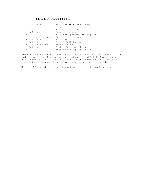## **ITALIAN APPETIZER**

 $\overline{\phantom{0}}$ 

| $4 \frac{1}{2}$ cups |                 | Zucchini $--$ about 6 med    |
|----------------------|-----------------|------------------------------|
|                      |                 | Size                         |
|                      |                 | Sliced or grated             |
|                      | $1/2$ cup       | Onion -- minced              |
| 1                    |                 | Hand full parsley -- chopped |
| 10                   | milliliters     | Garlic -- - minced           |
| $1\frac{1}{2}$ cups  |                 | Bisquick                     |
| 3/4                  | cup             | Oil -- Salt to taste or      |
|                      | 1 1/2 teaspoons | Seasoning salt               |
| 3/4                  | cup             | Grated Parmesan cheese       |
|                      |                 | Eggs $--$ slightly beaten    |

Preheat oven to 350~F; combine all ingredients in a large bowl in the order given; mix thoroughly; pour into an oiled 9 X 13 Pyrex baking dish; bake 35 to 40 minutes or until lightly browned; cool on a wire rack and cut into small squares; can be served warm or cold.

Note: If served as a cold appetizer, cut into smaller pieces.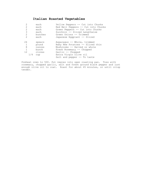# **Italian Roasted Vegetables**

| $\overline{2}$ | each    | Yellow Peppers -- Cut into Chunks   |
|----------------|---------|-------------------------------------|
| $\overline{2}$ | each    | Red Bell Peppers -- Cut into Chunks |
| $\overline{2}$ | each    | Green Peppers -- Cut into Chunks    |
| 3              | each    | Zucchini -- Sliced Lengthwise       |
| 2              | bunches | Green Onions -- Trimmed             |
| $\mathfrak{D}$ | each    | Japanese Eqqplant -- Sliced         |
| 24             | spears  | Asparagus -- Whole, trimmed         |
|                | pound   | Baby New Potatoes -- Sliced thin    |
| 8              | ounces  | Mushrooms -- Halved or whole        |
|                | bunch   | Fresh Rosemary -- Chopped           |
| 12             | cloves  | Garlic -- Chopped                   |
| 1/4            | cup     | Extra Virgin olive oil              |
|                |         | Salt and pepper -- To taste         |

Preheat oven to 500. Put vegies into open roasting pan. Toss with rosemary, chopped garlic, salt and fresh ground black pepper and just enough olive oil to coat. Roast for about 45 minutes, or until crisp tender.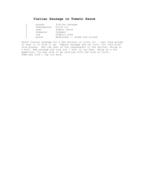# **Italian Sausage in Tomato Sauce**

|   | pounds      | Italian Sausage               |
|---|-------------|-------------------------------|
| 2 | tablespoons | Olive oil                     |
| 2 | cups        | Tomato sauce                  |
|   | teaspoon    | Oregano                       |
|   | cup         | Chablis wine                  |
|   | pound       | Mushrooms -- fresh and sliced |

Saute Italian sausage for a few minutes in olive oil - just long enough to seal it or firm it up. Remove sausage and let cool. Cut into bitesize pieces. Mix the rest of the ingredients in the skillet. Bring to a boil. Add sausage and cook for 1 hour on low heat. Serve as a hot appetizer. You may wish to be cautious with the wine at first. Some may find 1 cup too much.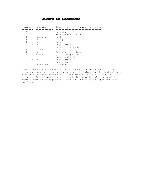## **Jicama En Escabeche**

|                | Amount Measure | Ingredient -- Preparation Method  |
|----------------|----------------|-----------------------------------|
|                |                |                                   |
| 4              |                | carrots<br>-cut into small chunks |
|                | teaspoon       | salt                              |
| 1              | cup            | vinegar                           |
| 1              | cup            | water                             |
| 1/2            | cup            | vegetable oil                     |
| 3              |                | onions -- sliced                  |
| 6              | cloves         | garlic                            |
| $\mathbf{1}$   | can            | jalapeno -- slices                |
| $\overline{2}$ | large          | jicama -- peeled                  |
|                |                | -peel and slice                   |
| 1/2            | cup            | vegetable oil                     |
| 3              |                | bay leaves                        |
| $\overline{2}$ | teaspoons      | oregano                           |

Cook carrots in salted water until tender. Drain and cool. In a large pan combine the vinegar, water, oil, onions, garlic and salt and cook until onions are tender. Add oregano and bay leaves. Boil and let cool. Add jalapenos, carrots and jicamass; let sit for several hours. Store in refrigerator. Serve as a salad or an appetizer with crackers.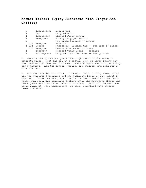# **Khombi Tarkari (Spicy Mushrooms With Ginger And Chilies)**

| 3               | Tablespoons | Peanut Oil                                   |
|-----------------|-------------|----------------------------------------------|
|                 | Cup         | Chopped Onion                                |
|                 | Tablespoon  | Chopped Fresh Ginger                         |
| 2               | Teaspoons   | Finely Choppped Garlic                       |
| 2               |             | Hot Green Chilies -- minced                  |
| 1/4             | Teaspoon    | Tumeric                                      |
| $1 \frac{1}{2}$ | Pounds      | Mushrooms, Cleaned And -- cut into 1" pieces |
| 1/2             | Teaspoon    | Coarse Salt -- or to taste                   |
|                 | Teaspoon    | Roasted Cumin Seeds -- crushed               |
| $\mathcal{L}$   | Tablespoons | Chopped Fresh Corianer -- for garnish        |

1. Measure the spices and place them right next to the stove in separate piles. Heat the oil in a kadhai, wok, or large frying pan over medium-high heat for 3 mintes. Add the onion and cook, stirring, for 3 minutes. Add the ginger, garlic, and chilies, and cook for 2 more minutes.

2. Add the tumeric, mushrooms, and salt. Cook, turning them, until all the moisture evaporates and the mushrooms begin to fry (about 15 minutes). Lower the heat, sprinkle on the cumin seeds and the lemon juice, mix well, and contuinue cooking until the mushrooms absorb the lemon juice and look fried (about 5 minutes). Turn off the heat and serve warm, at room temperature, or cold, sprinkled with chopped fresh coriander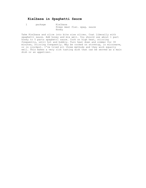# **Kielbasa in Spaghetti Sauce**

 1 package Kielbasa Prego meat flav. spag. sauce Honey

Take Kielbasa and slice into bite size slices. Coat liberally with spaghetti sauce. Add honey and mix well. You should use about 1 part honey to 5 parts spaghetti sauce. Cook on high heat, stirring frequently, until hot and bubbly. Turn heat down and simmer for 30 minutes, stirring frequently. May be cooked on stovetop, in microwave, or in crockpot. I've tried all three methods and they work equally well. This makes a very rich tasting dish that can be served as a main dish or an appetizer.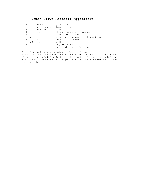# **Lemon-Olive Meatball Appetizers**

|    |     | pound       | ground beef                       |
|----|-----|-------------|-----------------------------------|
| 3  |     | tablespoons | lemon juice                       |
| 1  |     | teaspoon    | salt                              |
|    |     | cup         | cheddar cheese -- grated          |
| 12 |     |             | olives -- minced                  |
|    | 1/4 |             | green bell pepper -- chopped fine |
|    |     | cup         | soft bread crumbs                 |
|    | 1/2 | cup         | milk                              |
|    |     |             | egg $-$ beaten                    |
| 12 |     |             | bacon slices -- *see note         |
|    |     |             |                                   |

Partially cook bacon, keeping it from curling. Mix all ingredients except bacon. Shape into 12 balls. Wrap a bacon slice around each ball; fasten with a toothpick. Arrange in baking dish. Bake in preheated 350-degree oven for about 40 minutes, turning once or twice.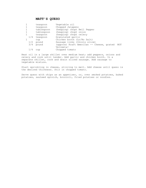## **MATT'S QUESO**

|     | teaspoon    | Vegetable oil                             |     |
|-----|-------------|-------------------------------------------|-----|
|     | teaspoon    | Chopped Jalapeno                          |     |
|     | tablespoon  | (heaping) chopt Bell Pepper               |     |
|     | tablespoon  | (heaping) chopt onion                     |     |
|     | teaspoon    | (heaping) chopt celery                    |     |
| 1/4 | teaspoon    | Granulated garlic                         |     |
|     | cup         | Chicken broth (Lo/No Salt)                |     |
| 1/2 | pound       | Sausage links (thinly slice)              |     |
|     | $3/4$ pound | (approx) Kraft American -- Cheese, grated | NOT |
|     |             | Velveeta!                                 |     |
|     | cup         | Chopped tomato                            |     |
|     |             |                                           |     |

Heat oil in a large skillet over medium heat; add peppers, onions and celery and cook until tender. Add garlic and chicken broth. In a separate skillet, cook and drain sliced sausage. Add sausage to vegetable mixture.

Start sprinkling in cheese, stirring to melt. Add cheese until queso is the desired thickness. Stir in chopped tomato.

Serve queso with chips as an appetizer, or, over smoked potatoes, baked potatoes, sauteed spinich, broccoli, fried potatoes or noodles.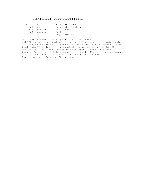## **MEXICALLI PUFF APPETIZERS**

| cup            | Flour -- All-Purpose |
|----------------|----------------------|
| $3/4$ cup      | Cornmeal -- Yellow   |
| 3/4 teaspoon   | Chili Powder         |
| $1/2$ teaspoon | Salt                 |
|                | Vegetable Oil        |

Mix flour, cornmeal, chili powder and salt in bowl. Add 1/2 cup water gradually; mixing until flour mixture is moistened. Turn dough onto floured cloth-covered board. Knead until smooth. Divide dough into 12 balls; cover with plastic wrap and set aside for 30 minutes. Heat oil (2-3 inches) in deep fryer or dutch oven to 400 degrees. Roll each ball into paper-thin rounds. Fry until golden brown, turning once, about 1 1/2 minute on each side. Drain well. Good served with Beer and Cheese soup.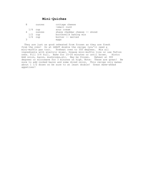# **Mini-Quiches**

| 8 | ounces    | cottage cheese                |
|---|-----------|-------------------------------|
|   |           | -small curd                   |
|   | $1/4$ cup | sour cream                    |
| 4 | ounces    | sharp cheddar cheese -- shred |
|   | $1/2$ cup | buttermilk baking mix         |
|   | $1/4$ cup | butter -- melted              |
|   |           | eggs                          |

 They are just as good reheated from frozen as they are fresh from the oven! Do at LEAST double the recipe (you'll need a mini-muffin pan too). Preheat oven to 350 degrees. Mix all ingredients with electric mixer. Grease mini-muffin tins or use Teflon ones. Fill 3/4 full. Bake for 15-20 minutes or until brown. Hints: Add onion, bacon, mushrooms,etc. May be frozen. Reheat at 300 degrees or microwave for 3 minutes on high. Note: These are great! Be sure to add cooked bacon and some diced onion. This recipe only makes about 1 1/2 dozen so be sure to at least double! Great make-ahead appetizer!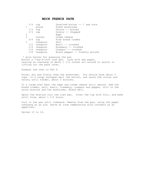#### **MOCK FRENCH PATE**

| 1/4 | cup      | Unsalted butter $--$ * see note |
|-----|----------|---------------------------------|
|     | pound    | Fresh mushrooms                 |
| 1/3 | cup      | Onions -- minced                |
| 1/3 | cup      | Celery -- chopped               |
| 2   |          | Eqqs                            |
| 3   | ounces   | Cream cheese                    |
| 3/4 | cup      | Fine bread crumbs               |
|     | teaspoon | Salt                            |
| 1/2 | teaspoon | Basil -- crushed                |
| 1/4 | teaspoon | Rosemary -- crushed             |
| 1/4 | teaspoon | Oregano -- crushed              |
| 1/8 | teaspoon | Black pepper -- freshly ground  |

\* plus butter for greasing the pan Butter a 7-by-4-inch loaf pan. Line with wax paper, leaving an overhang of about 1 1/2 inches all around to assist in lifting out the pate later.

Preheat the oven to 400 F.

Rinse, dry and finely chop the mushrooms. You should have about 5 cups. In a large saucepan melt the butter, and saute the onions and celery until tender, about 5 minutes.

In a large bowl beat the eggs and cream cheese until smooth. Add the bread crumbs, salt, basil, rosemary, oregano and pepper. Stir in the onion mixture and the mushrooms. Blend well.

Spoon the mixture into the loaf pan. Cover the top with foil, and bake until firm, about 1 1/2 hours.

Cool in the pan until lukewarm. Remove from the pan, using the paper overhang as an aid. Serve at room temperature with crackers as an appetizer.

Serves 12 to 14.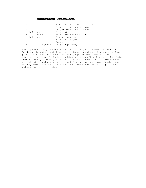# **Mushrooms Trifalati**

|                        |             | 1/2 inch thick white bread |
|------------------------|-------------|----------------------------|
|                        |             | Slices -- crusts removed   |
| 4                      |             | Lq qarlic cloves minced    |
| 1/2                    | cup         | Olive oil                  |
| $1 \quad \blacksquare$ | pound       | Mushrooms thin sliced      |
|                        | $1/4$ cup   | Dry white wine             |
|                        |             | Salt and pepper            |
| 2                      |             | Lemons                     |
| 3                      | tablespoons | Chopped parsley            |

Use a good quality bread not that store bought sandwich white bread. Fry bread in butter until golden or toast bread and then butter. Cook garlic in microwave with onion on high power for 1 minute. Add mushrooms and cook 2 minutes on high stirring after 1 minute. Add juice from 2 lemons, parsley, wine and salt and pepper. Cook 2 more minutes on high. Stir and cover and let set 3 minutes. Mushrooms should appear wilted, Serve mushrooms over the toast with some of the liquid. You can add more garlic to taste.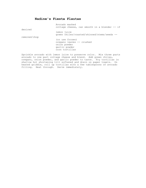# **Nadine's Fiesta Flautas**

|              | Avocado mashed<br>cottage cheese, can smooth in a blender -- if                                 |
|--------------|-------------------------------------------------------------------------------------------------|
| desired      |                                                                                                 |
|              | lemon juice<br>green chiles/roasted/skinned/stems/seeds --                                      |
| removed/chop | (or use frozen)<br>oregano leaves -- crushed<br>onion powder<br>garlic powder<br>corn tortillas |

Sprinkle avocado with lemon juice to preserve color. Mix three parts avocado to one part cottage cheese and blend. Add green chiles, oregano, onion powder, and garlic powder to taste. Fry tortillas in shallow hot shortening till softened and drain on paper towels. On heated griddle, roll up tortillas with a few tablespoons of avocado filling. Heat through. Serve immediately.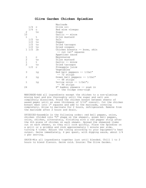## **Olive Garden Chicken Spiedies**

|                    |                | Marinade                        |
|--------------------|----------------|---------------------------------|
| $1/4$ c            |                | Olive oil                       |
| $1/4$ c            |                | Red wine vinegar                |
| 2                  | ts             | Sugar                           |
| 10                 |                | Garlic -- mince                 |
| $\mathbf{1}$       | t              | Dijon mustard                   |
| $1/2$ ts           |                | Salt                            |
| $1/2$ ts           |                | Pepper                          |
| $1/2$ ts           |                | Dried tarragon                  |
| $1/2$ ts           |                | Dried oregano                   |
| $1 \frac{1}{2}$ lb |                | Chicken breasts -- bone, skin   |
|                    |                | -- cut 1x1" squares             |
|                    |                | Appetizer sauce                 |
| 1                  | $\mathtt{C}$   | Mayonnaise                      |
| $\overline{c}$     | ts             | Dijon mustard                   |
| $\frac{1}{2}$      | t.             | Garlic -- mince                 |
|                    | ts             | Dried tarragon                  |
| $1/2$ c            |                | Pineapple juice                 |
|                    |                | Vegetables                      |
| 3                  | 1 <sub>g</sub> | Red bell peppers $-- 1/2x1"$    |
|                    |                | -- 72 strips                    |
| 2                  | lq             | Green bell peppers $-- 1/2x1$ " |
|                    |                | -- 48 strips                    |
| $\mathbf{1}$       | 1 <sub>g</sub> | Yellow onion $-- 1/2x1"$ ;      |
|                    |                | -- 96 strips                    |
| 24                 |                | 8" bamboo skewers -- soak in    |
|                    |                | -- the fridge over-nigh         |

 MARINADE-Add all ingredients except the chicken to a non-aluminum mixing bowl and mix thoroughly until the sugar and salt are completely dissolved. Pound the chicken breast between sheets of waxed peper until an even thickness of 3/16" overall. Cut the chicken breast meat into 1" squares and add to the marinade, covering completely. Allow to marinate for 2 hours, refrigerated. Remove from the marinade after 2 hours and drain.

 SPIEDIES-Assemble in the following order: red bell pepper, onion, chicken (folded into "C" shape on the skewer), green bell pepper, onion, chicken, alternately, finishing with a red pepper strip after the 4th piece of chicken on each skewer. Spread the skewered items out on each skewer, so they will cook quickly. Place the Spiedies on a grill or a griddle and cook approximately 1 minute per side, turning 4 times. Adjust the timing according to your equipment's heat output. Serve immediately, 4 per quest, with dipping sauce, about 1/4 c per serving.

 SAUCE-Mix all ingredients together just until blended. Chill 1 to 2 hours to blend flavors. Serve cold. Source: The Olive Garden.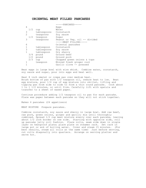#### **ORIENTAL MEAT FILLED PANCAKES**

|                |                 | -----PANCAKES-----            |
|----------------|-----------------|-------------------------------|
| 4              |                 | Eqqs                          |
|                | 1/2<br>cup      | Water                         |
| 3              | tablespoons     | Cornstarch                    |
| $\mathfrak{D}$ | teaspoons       | Soy sauce                     |
|                | 1/2<br>teaspoon | Sugar                         |
| 3              | teaspoons       | Peanut or Veg. oil -- divided |
|                |                 | -----MEAT FILLING-----        |
| 6              |                 | Oriental pancakes             |
| 1              | tablespoon      | Cornstarch                    |
| 3              | tablespoons     | Soy sauce                     |
| $\mathbf{1}$   | tablespoon      | Dry sherry                    |
|                | 3/4<br>pound    | Ground beef                   |
|                | 1/2<br>pound    | Ground pork                   |
|                | 2/3<br>cup      | Chopped green onions & tops   |
|                | teaspoon        | Minced fresh ginger root      |
|                |                 | Garlic clove -- pressed       |

Beat eggs in large bowl with wire whisk. Combine water, cornstarch, soy sauce and sugar, pour into eggs and beat well.

Heat 8 inch omelet or crepe pan over medium heat. Brush bottom of pan with 1/2 teaspoon oil, reduce heat to low. Beat egg mixture, pour 1/4 cup of egg mixture into skillet, lifting and tipping pan from side to side to form a thin round pancake. Cook about 1 to 1 1/2 minutes, or until firm. Carefully lift with spatula and transfer to a sheet of waxed paper.

Continue procedure adding 1/2 teaspoon oil to pan for each pancake. Place wax paper between each pancake so they will not stick together.

Makes 6 pancakes (24 appetizers)

MEAT MIXTURE Prepare pancakes.

Combine cornstarch, soy sauce and sherry in large bowl. Add raw beef, raw pork, green onions, ginger and garlic; mix until thoroughly combined. Spread 1/2 cup meat mixture evenly over each pancake, leaving about 1/2 inch border on one side. Starting with opposite side, roll up pancake jelly roll fashion. Place rolls, seam side down in single layer on heatproof plate; place plate on steamer rack. Set rack in large pot or wok of boiling water. Cover and steam 15 minutes. (For best results, steam all rolls at the same time) Just before serving, cut rolls diagonally into quarters. Arrange on serving platter and serve hot.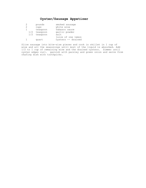# **Oyster/Sausage Appetizer**

|     | pounds   | smoked sausage     |
|-----|----------|--------------------|
| 2   | cups     | white wine         |
|     | teaspoon | Tabasco sauce      |
| 1/2 | teaspoon | garlic powder      |
| 1/2 | teaspoon | salt               |
|     |          | juice of one lemon |
|     | quart    | oysters -- drained |

Slice sausage into bite-size pieces and cook in skillet in 1 cup of wine and all the seasonings until most of the liquid is absorbed. Add 1/2 to 1 cup of remaining wine and the drained oysters. Simmer until oyster edges curl. garnish with parsley and green onion and serve from chafing dish with toothpicks.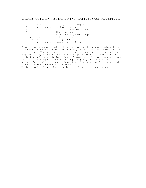## **PALACE OUTBACK RESTAURANT'S RATTLESNAKE APPETIZER**

| 5   | ounces      | Vinaigrette (recipe)      |
|-----|-------------|---------------------------|
| 4   | tablespoons | Mustar -- dijon           |
| 3   |             | Garlic cloves -- minced   |
| 4   |             | Thyme sprigs              |
| 4   |             | Parsley sprigs -- chopped |
| 1/4 | cup         | Oil -- olive              |
| 1/8 | cup         | Vinegar -- malt           |
|     | tablespoons | Seasoning -- Cajun        |
|     |             |                           |

Desired portion amount of rattlesnake, meat, chicken or seafood Flour for dredging Vegetable oil for deep-frying Cut meat of choice into 1 inch pieces. Mix together remaining ingredients except flour and the vegetable oil, blending well. Cover prepared meat with marinade and marinate, refrigerated, for 1 hour. Remove meat from marinade and toss in flour, shaking off excess coating. Deep fry in 375^F oil until golden. Serve with lemon and chopped parsley garnish. A cajun-spiced mayonnaise may accompany if desired. Marinade makes 8 appetizer servings, refrigerate unused amount.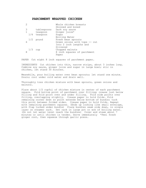#### **PARCHMENT WRAPPED CHICKEN**

| $\overline{2}$ |                | Whole chicken breasts         |
|----------------|----------------|-------------------------------|
|                |                | Skinned and boned             |
| 3              | tablespoons    | Dark soy sauce                |
| $\mathbf{1}$   | teaspoon       | Ginger juice*                 |
|                | $1/4$ teaspoon | Sugar                         |
|                |                | Boiling Water                 |
|                | $1/2$ pound    | Fresh bean sprouts            |
| 6              |                | Green onions with tops -- cut |
|                |                | Into 2 inch lengths and       |
|                |                | Slivered                      |
| 1/3            | cup            | Chopped walnuts               |
| 8              |                | 8 inch squares of parchment   |
|                |                | Paper                         |
|                |                |                               |

PAPER Cut eight 8 inch squares of parchment paper.

INGREDIENTS Cut chicken into thin, narrow strips, about 3 inches long. Combine soy sauce, ginger juice and sugar in large bowl; stir in chicken, let stand 30 minutes.

Meanwhile, pour boiling water over bean sprouts; let stand one minute. Drain; cool under cold water and drain well.

Thoroughly toss chicken mixture with bean sprouts, green onions and walnuts.

Place about 1/2 cupful of chicken mixture in center of each parchment square. Fold bottom point of parchment over filling; crease just below filling and fold point over and under filling. Fold side points over filling, overlapping slightly. Crease paper to hold folds. Fold remaining corner down so point extends below bottom of bundle; tuck this point between folded sides. Crease paper to hold folds. Repeat with remaining parchment squares. (Ends up looking like small envelope, with flap tucked under bundle) Place bundles seam side down, in single layer on steamer rack. Set rack in large pot or wok of boiling water. (Do not let water level reach the bundles) Cover and steam about 7 minutes or until chicken is tender. Serve immediately \*Peel fresh ginger root, then squeeze through garlic press.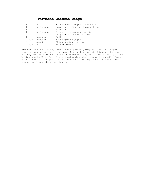# **Parmesan Chicken Wings**

|              | cup            | Freshly grated parmesan ches    |
|--------------|----------------|---------------------------------|
|              | tablespoon     | Heaping -- finely chopped fresh |
|              |                | Parsley                         |
|              | tablespoon     | Fresh -- oregano or marjam      |
|              |                | Choppedor 1 ts.of either        |
| $\mathbf{1}$ | teaspoon       | Salt                            |
|              | $1/2$ teaspoon | Fresh ground pepper             |
|              | pounds         | Chicken wings cut up            |
| 1/2          | cup            | Butter melted                   |
|              |                |                                 |

Preheat oven to 375 deg. Mix cheese, parsley, oregano, salt and pepper together and place on a dry tray. Dip each piece of chicken into the butter, then roll in the cheese mixture, coating well. Place on a greased baking sheet. Bake for 45 minutes,turning when brown. Wings will freeze well. Thaw in refrigerator,and heat in a 375 deg. oven. Makes 4 main course or 8 appetizer servings...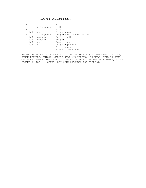## **PARTY APPETIZER**

|               |     |             | OZ                      |
|---------------|-----|-------------|-------------------------|
| 2             |     | tablespoons | Milk                    |
| 1             |     |             | $3 \text{ oz}$          |
|               | 1/4 | cup         | Green pepper            |
| $\mathcal{L}$ |     | tablespoons | Dehydrated minced onion |
|               | 1/2 | teaspoon    | Garlic salt             |
|               | 1/4 | teaspoon    | Pepper                  |
|               | 1/2 | cup         | Sour cream              |
|               | 1/3 | cup         | Chopped pecans          |
|               |     |             | Cream cheese            |
|               |     |             | Sliced dried beef       |
|               |     |             |                         |

BLEND CHEESE AND MILK IN BOWL. ADD DRIED BEEF(CUT INTO SMALL PIECES), GREEN PEPPERS, ONIONS, GARLIC SALT AND PEPPER. MIX WELL. STIR IN SOUR CREAM AND SPREAD INTO BAKING DISH AND BAKE AT 350 FOR 20 MINUTES, PLACE PECANS ON TOP . SERVE WARM WITH CRACKERS FOR DIPPING.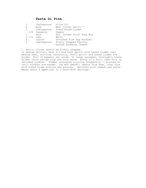# **Pasta Di Pina**

| 3<br>4<br>2<br>1/8   | tablespoons<br>each<br>tablespoons<br>teaspoon<br>each | Olive Oil<br>Med. Cloves Garlic *<br>Fresh Bread Crumbs<br>Pepper<br>Env. Golden Onion Soup Mix |
|----------------------|--------------------------------------------------------|-------------------------------------------------------------------------------------------------|
| $3 \frac{1}{2}$<br>6 | cups<br>ounces                                         | Water<br>Uncooked Fine Eqq Noodles                                                              |
|                      | tablespoons                                            | Finely Chopped Parsley<br>Grated Parmesan Cheese                                                |

\* Garlic cloves should be finely chopped.

In medium skillet, heat oil and cook garlic with bread crumbs over medium heat, stirring constantly, until garlic and bread crumbs are golden. Stir in pepper; set aside. In large saucepan, thoroughly blend golden onion recipe soup mix with water. Bring to a boil, then stir in uncooked noodles. Simmer uncovered stirring frequently, 7 minutes or until noodles are tender. (DO NOT DRAIN!) remove from heat, then toss with bread crumb mixture and parsley. Sprinkle with cheese and serve. Makes about 4 appetizer or 2 main-dish servings.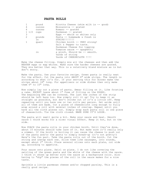#### **PASTA ROLLS**

|                     | pound  | Ricotta Cheese (skim milk is $-$ good) |
|---------------------|--------|----------------------------------------|
| 4                   | ounces | Mozzarella -- grated                   |
| 4                   | ounces | Romano $-$ qrated                      |
| $1\frac{1}{2}$ cups |        | Parmesan -- grated                     |
| 3                   |        | Eggs $--$ whole or whites only         |
| 2                   | pounds | Pasta -- homemade & fresh is           |
|                     | In     | STRIPS!!!!!!!                          |
|                     | quart  | Chicken broth -- VERY strong!          |
|                     |        | Salt & Pepper to taste.                |
|                     |        | Parmesan Cheese for topping            |
|                     |        | Tomatoe sauce -- spaghetti             |
|                     | in     | a pinch. Should be -- smooth.          |
|                     |        | Yards of string                        |
|                     |        | Yards of CHEESECLOTH !!!!              |
|                     |        |                                        |

Make the cheese filling. Simply mix all the cheeses and then add the BEATEN eggs or egg whites. Make sure the harder cheeses are grated. They mix better that way. This is a relatively bland mixture as is but don't worry.

Make the pasta. Use your favorite recipe. Green pasta is really neat for the effect. Cut the pasta into ABOUT 6" wide strips. The length is according to what it's for. If your serving this for dinner make the strips about 18" long. For appetizers or side dishes then only make them 6" to 10" long.

Now simply lay out a piece of pasta. Smear filling on it. Like frosting a cake. EXCEPT leave about 1" free of filling on the EDGES. The beginning END can be covered. The last few inches of the strip should be left bare too. Now simply roll it up! Try to keep it as straight as possible, but don't stroke out if it's a little off. Keep repeating until you have one or two rolls per person. Set aside until all of them are made. Cut a piece of cheesecloth long enough to fully wrap around a roll with several inches of overlap. Repeat until you have all the cloth pieces cut. Simply wrap each pasta roll in one piece of cheesecloth. Tie the cloth closed. MAKE SURE IT'S LOOSE.

The pasta will swell quite a bit. Make your sauce and heat. Smooth sauce I think works for a nicer visual effect. Keep it hot, but on the side.

Now POACH the pasta rolls in your chicken broth. Until they're done, about 15 minutes should take care of it. But make sure it's really only a simmer. If the broth is boiling it can cause the cheese to push out of the pasta and/or the pasta to simply break-up (it's not pretty!) Here's the fun part. Take the pasta rolls out of the broth. Cut the string and unwrap each one. Slice them like sausages, into rounds, except about 2" thick. Place several slices onto each plate, cut side up, according to appetite.

Pour sauce onto plate. Swirl on plate. I do not like covering the swirling of the green pasta and the white of the cheese with the sauce. I think it shows up better with the sauce as a background color. Also having to "dip" the pieces of the roll in the sauce makes for a nice taste.

Sprinkle a little parmesan cheese and/or chopped parsley. This is a really good recipe.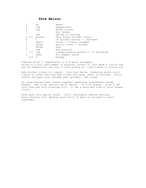#### **Pate Maison**

| $\overline{2}$ | qt                    | water                                  |
|----------------|-----------------------|----------------------------------------|
| 2              | tsp                   | peppercorns                            |
| 2              | tsp                   | whole cloves                           |
| 3              |                       | bay leaves                             |
|                | few                   | sprigs of parsley                      |
|                | $2\frac{1}{2}$ pounds | very fresh chicken livers              |
| $\mathcal{D}$  | C                     | (4 sticks) butter -- softened          |
|                | small                 | onion -- finely chopped                |
|                | large                 | qarlic clove -- minced                 |
|                | Tblsp                 | salt                                   |
| 2              | tsp                   | dry mustard                            |
| 1/2            | tsp                   | nutmeg (freshly ground -- if possible) |
|                | Dash                  | hot pepper sauce                       |
|                | C                     | brandy                                 |

Combine first 5 ingredients in a 4-quart saucepan. Bring to a boil and simmer 10 minutes, strain (I just make a little bag out of cheesecloth and tie it with string so I don't have to strain it).

Add chicken livers to liquid. Cook just below simmering point until liquid is clear and rosy and livers are done, about 10 minutes. Drain livers and pass once through meat grinder. Set aside.

In large mixing bowl, blend together remaining ingredients except brandy. Add liver and mix until smooth. Stir in brandy. Line a 9x5 inch loaf pan with aluminum foil. (I use a mold and line it with cheese cloth).

Pack pate into pan(or mold). Chill thoroughly before serving. Note: Flavors will develop more fully if pate is allowed to chill overnight.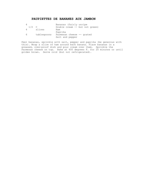# **PAUPIETTES DE BANANES AUX JAMBON**

|         |             | Bananas (fairly unripe         |
|---------|-------------|--------------------------------|
| $1/2$ C |             | Double cream -- but not green) |
| 4       | slices      | Ham                            |
|         |             | Paprika                        |
| 6       | tablespoons | Parmesan cheese -- grated      |
|         |             | Salt and pepper                |

Peel bananas, sprinkle with salt, pepper and paprika (be generous with this). Wrap a slice of ham around each banana. Place bananas in a greased, oven-proof dish and pour cream over them. Sprinkle the Parmesan cheese on top. Bake at 400 degrees F. for 20 minutes or until golden brown. Serve cold (but not refrigerated).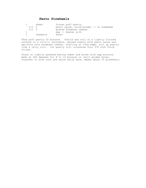## **Pesto Pinwheels**

|         | sheet    | frozen puff pastry                       |
|---------|----------|------------------------------------------|
| $1/3$ C |          | pesto sauce, store-bought -- or homemade |
| $1/2$ C |          | grated Parmesan cheese                   |
|         |          | egg -- beaten with                       |
|         | teaspoon | water                                    |

Thaw puff pastry 20 minutes. Unfold and roll on a lightly floured surface to a 14-x-11 rectangle. Spread evenly with pesto sauce and sprinkle with Parmesan cheese. Starting at long edge, roll up pastry like a jelly roll. Cut pastry roll crosswise into 3/8 inch thick slices.

Place on lightly greased baking sheet and brush with egg mixture. Bake at 400 degrees for 8 to 10 minutes or until golden brown. Transfer to wire rack and serve while warm. Makes about 35 pinwheels.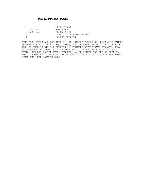# **PHILIPPINO PORK**

| n         | PORK STEAKS              |
|-----------|--------------------------|
| $1/2$ cup | SOY SAUCE                |
| $1/2$ cup | LEMON JUICE              |
| 3         | GARLIC CLOVES -- CRUSHED |
|           | BAMBOO SKEWERS           |

BONE PORK STEAK AND CUT INTO 1/2 IN. STRIPS THREAD OR WEAVE ONTO BAMBOO SKEWERS MIX SOY SAUCE, LEMON JUICE, AND CRUSHED GARLIC IN 9 X 13 BAKE DISH BE SURE TO DIP ALL SKEWERS IN MARINADE REFRIGERATE FOR SEV. HRS. OR OVERNIGHT HOT TORTILLAS OR RICE AND A TOSSED GREEN SALAD ROTATE BOTTOM SKEWERS TO TOP EVERY FEW HRS MAY BE EITHER BROILED OR BRILLED ABOUT 15 MIN SMALL SKEWERS MAY BE USED TO MAKE A GREAT APPETIZER BROIL AHEAD AND KEEP WARM IN OVEN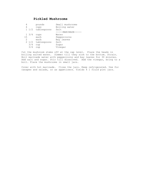# **Pickled Mushrooms**

| pounds                    | Small mushrooms    |
|---------------------------|--------------------|
| cups                      | Boiling water      |
| tablespoons<br>$1\;\;1/2$ | Salt               |
|                           | -----MARINADE----- |
| $1 \frac{3}{4}$<br>cups   | Water              |
| each                      | Peppercorns        |
| each                      | Bay leaves         |
| 2 1/2 tablespoons         | Salt               |
| 3/4<br>cup                | Sugar              |
| 3/4<br>cup                | Vinegar            |
|                           |                    |

Cut the mushroom stems off at the cap level. Place the heads in boiling salted water. Simmer till they sink to the bottom. Strain. Boil marinade water with peppercorns and bay leaves for 30 minutes. Add salt and sugar. Stir till dissolved. Add the vinegar, bring to a boil. Place the mushrooms in small jars.

Cover with hot marinade. Close the jars. Keep refrigerated. Use for canapes and salads, or as appetizers. Yields 4 1 fluid pint jars.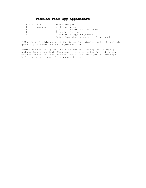# **Pickled Pink Egg Appetizers**

| $1\frac{1}{2}$ cups |          | white vinegar                          |
|---------------------|----------|----------------------------------------|
|                     | teaspoon | pickling spice                         |
|                     |          | garlic clove -- peel and bruise        |
|                     |          | fresh bay leaves                       |
| h                   |          | hard-boiled eggs -- peeled             |
|                     |          | juice from pickled beets -- * optional |

\* Use about 2 tablespoons of the juice from pickled beets if desired; gives a pink color and adds a pleasant taste.

Simmer vinegar and spices uncovered for 10 minutes; cool slightly, add garlic and bay leaf. Pack eggs into a screw top jar, add vinegar mixture; cover and cool to room temperature. Refrigerate 7-10 days before serving, longer for stronger flavor.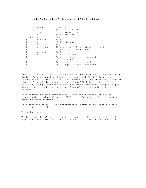#### **PICKLED PIGS' EARS, CHINESE STYLE**

| 2 |     | pounds     | Pigs' ears                         |
|---|-----|------------|------------------------------------|
| 4 |     |            | Whole star anise                   |
| 3 |     | slices     | Fresh ginger root                  |
|   | 1/2 | cup        | White vinegar                      |
|   | 1/4 | cup        | Sugar                              |
| 1 |     | teaspoon   | Salt                               |
|   |     | cup        | White vinegar                      |
|   |     | cup        | Sugar                              |
| 1 |     | tablespoon | Thinly sliced fresh ginger -- root |
| 3 |     |            | Cloves garlic -- sliced            |
| 1 |     | teaspoon   | Salt                               |
|   |     | cup        | Sliced carrots                     |
| 1 |     |            | Cucumber, unpeeled -- seeded       |
|   |     |            | cut in chunks                      |
|   |     |            | Red onion -- cut in chunks         |
|   |     |            | Bell pepper -- cut in chunks       |

Prepare pigs' ears according to steps I and II in basic instructions; drain. Return to pot with water to cover and first 5 ingredients listed above. Bring to a boil and simmer for 1 hour; let meat cool in liquid. Discard liquid and cut ears into 1/2x1-inch slices. In the meantime, bring 3 cups water to a boil with remaining vinegar, sugar, ginger, garlic salt and carrots. Turn off heat when boiling point is reached.

Cool mixture to room temperature. Then add cucumber, onion, bell pepper and sliced pigs' ears. Chill in refrigerator for at least 4 hours to blend flavors.

Will keep for up to 1 week refrigerated. Serve as an appetizer or a cold meat side dish.

Makes two quarts.

Variations: Pigs' snouts may be prepared in the same manner. Add 1 cup fresh sweet pineapple chunks at the same time as the vegetables.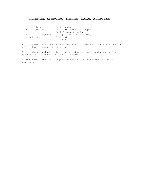### **PIPERIES OREKTIKO (PEPPER SALAD APPETIZER)**

| b | large       | Sweet peppers             |
|---|-------------|---------------------------|
| 1 | medium      | Onion -- coarsely chopped |
|   |             | Salt & pepper to taste    |
| 3 | tablespoons | Vinegar (more if desired) |
|   | 1/4<br>cup  | Olive oil                 |
|   |             | Oregano                   |

Bake peppers in hot 450 F oven for about 20 minutes or until wilted and soft. Remove seeds and outer skin.

Cut in pieces and place in a bowl. Add onion, salt and pepper. Mix vinegar and olive oil and add to peppers.

Sprinkle with oregano. Adjust seasonings if necessary. Serve as appetizer.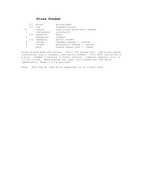# **Pizza Fondue**

|              | 1/2 | pound          | ground beef                  |
|--------------|-----|----------------|------------------------------|
|              | 1/2 | cup            | chopped onoins               |
| 21           |     | ounces         | cans pizza sauce with cheese |
| $\mathbf{1}$ |     | tablespoon     | cornstarch                   |
|              |     | $1/2$ teaspoon | basil                        |
| 2            |     | teaspoons      | oregano                      |
|              | 1/4 | teaspoon       | garlic powder                |
| 8            |     | ounces         | cheddar cheese -- grated     |
| 4            |     | ounces         | mozzarella cheese -- grated  |
|              |     | each           | French bread loaf -- cubed   |
|              |     |                |                              |

Brown ground beef and onions. Drain off excess fat. Add pizza sauce, cornstarch, basil, oregano, and garlic powder. Stir well and bring to a boil. Simmer 5 minutes to blend flavors. Combine cheeses; stir in 1/3 at a time. When piping hot, pour into fondue pot and serve immediately. Makes 4 to 6 servings

Note: This may be used as an appetizer or as a main dish.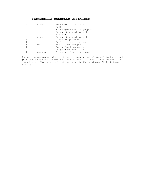# **PORTABELLA MUSHROOM APPETIZER**

|   | ounces   | Portabella mushrooms      |
|---|----------|---------------------------|
|   |          | Salt                      |
|   |          | Fresh ground white pepper |
|   |          | Extra virgin olive oil    |
|   |          | Marinade:                 |
| 3 | ounces   | Extra virgin olive oil    |
| 2 |          | Limes $-$ juice only      |
|   |          | Garlic clove -- minced    |
|   | small    | Shallot -- chopped        |
|   |          | Sprig fresh rosemary --   |
|   |          | Chopped $-$ about 1 t.    |
|   | teaspoon | Fresh parsley -- chopped  |
|   |          |                           |

Season the mushrooms with salt, white pepper and olive oil to taste and grill over high heat 4 minutes, until soft. Let cool. Combine marinade ingredients. Marinate at least one hour in the mixture. Chill before serving.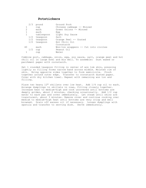## **Potstickers**

| 2/3 | pound          | Ground Pork                          |
|-----|----------------|--------------------------------------|
|     | cup            | Chinese cabbage -- Minced            |
| 2   | each           | Green Onions -- Minced               |
|     | each           | Egg                                  |
|     | tablespoon     | Light Soy Sauce                      |
|     | $1/2$ teaspoon | Salt                                 |
|     | 1/2 teaspoon   | Orange Peel -- Grated                |
| 1/2 | teaspoon       | Hot Chili Oil                        |
|     |                | Cornstarch                           |
| 40  | each           | Won-ton wrappers -- Cut into circles |
| 1/2 | cup            | Peanut Oil                           |
|     | cup            | Water                                |

Combine port, cabbage, onion, egg, soy sauce, salt, orange peel and hot chili oil in large bowl and mix well. To assemble: Dust waxed or parchment paper with cornstarch.

Set 1 rounded teaspoon filling in center of won tom skin, pressing lightly so filling forms narrow band across middle. Moisten rim of skin. Bring opposite sides together to form semicircle. Pinch together around outer edge. Transfer to cornstarch dusted paper. Cover with dry kitchen towel. Repeat with remaining won ton and filling.

Place two heavy 12" skillets over low heat. Add 1/4 cup oil to each. Arrange dumplings in skillets in rows, fitting closely together. Increase heat to medium-high and cook uncovered until bottoms are deeply golden, about 2 minutes, checking occasionally. Add 1/2 cup water to each pan and cover immediately. Let steam until skins are translucent, about 3 minutes. Remove cover and continue cooking over medium to medium-high heat until bottoms are very crisp and well browned. Drain off excess oil if necessary. Loosen dumplings with spatula and transfer to serving dish. Serve immediately.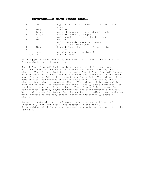### **Ratatouille with Fresh Basil**

|                   | small | eggplant (about 1 pound) cut into 3/4 inch |
|-------------------|-------|--------------------------------------------|
|                   |       | cubes                                      |
| 8                 | Tbsp  | olive oil                                  |
| $\overline{2}$    | large | red bell peppers $--$ cut into $3/4$ inch  |
|                   | large | onion -- coarsely chopped                  |
| $12 \overline{ }$ | OZ    | small zucchini $--$ cut into $3/4$ inch    |
|                   | 1b.   | tomatoes                                   |
|                   |       | peeled, seeded, coarsely chopped           |
| 4                 |       | qarlic cloves -- chopped                   |
|                   | Tbsp  | chopped fresh thyme -- or 1 tsp. dried     |
|                   |       | bay leaf                                   |
|                   | tsp.  | red wine vinegar (optional)                |
|                   | cup   | chopped fresh basil                        |
|                   |       |                                            |

Place eggplant in colander. Sprinkle with salt. Let stand 30 minutes. Pat eggplant dry with paper towels.

Heat 4 Tbsp olive oil in heavy large non-stick skillet over med-hi heat. Add eggplant and saute until brown and cooked through, about 6 minutes. Transfer eggplant to large bowl. Heat 1 Tbsp olive oil in same skillet over med-hi heat. Add bell peppers and saute until light brown, about 5 minutes. Add bell peppers to eggplant. Add 1 Tbsp olive oil to same skillet. Add chopped onion and saute until light brown, about 4 minutes. Add onion to eggplant. Heat 1 Tbsp olive oil in same skillet over med-hi heat. Add zucchini and brown lightly, about 3 minutes. Add zucchini to eggplant mixture. Heat 1 Tbsp olive oil in same skillet. Add tomatoes, garlic, thyme and bay leaf and saute mixture 3 minutes. Return all vegetables to skillet. Reduce heat to medium, cover and cook until vegetables are very tender, stirring occasionally, about 20 minutes.

Season to taste with salt and pepper. Mix in vinegar, if desired. Discard bay leaf. Mix basil into ratatouille and serve. Serve cold or slightly warm as an appetizer, main course, or side dish. Serves 6.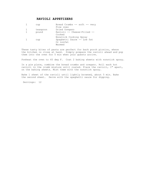### **RAVIOLI APPETIZERS**

|              | cup      | Bread Crumbs -- soft -- very |
|--------------|----------|------------------------------|
|              |          | Fine ones                    |
| $\mathbf{1}$ | teaspoon | Dried Oregano                |
| $\mathbf{1}$ | pound    | Ravioli -- Cheese-Filled --  |
|              |          | Cooked                       |
|              |          | Nonstick Cooking Spray       |
|              | cup      | Spaghetti Sauce -- Low fat   |
|              |          | Or nonfat                    |
|              |          | Warmed                       |
|              |          |                              |

These tasty bites of pasta are perfect for back porch picnics, where the kitchen is close at hand. Simply prepare the ravioli ahead and pop them into the oven for 5 min when your guests arrive.

Preheat the oven to 45 deg F. Coat 2 baking sheets with nonstick spray.

In a pie plate, combine the bread crumbs and oregano. Roll each hot ravioli in the crumb mixture until coated. Place the ravioli, 1" apart, on the baking sheets. Mist them with the nonstick spray.

Bake 1 sheet of the ravioli until lightly browned, about 5 min. Bake the second sheet. Serve with the spaghetti sauce for dipping.

Servings: 12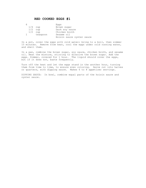### **RED COOKED EGGS #1**

|  |              |          | Eggs                      |
|--|--------------|----------|---------------------------|
|  | $1/4$ cup    |          | Brown sugar               |
|  | $1/2$ cup    |          | Dark soy sauce            |
|  | $1/2$ cup    |          | Chicken broth             |
|  | $\mathbf{1}$ | teaspoon | Sesame oil                |
|  |              |          | Hoisin sauce oyster sauce |

In a pot, cover the eggs with cold water; bring to a boil, then simmer 15 minutes. Remove from heat, cool the eggs under cold running water, and shell them.

In a pan, combine the brown sugar, soy sauce, chicken broth, and sesame oil. Heat the mixture, stirring to dissolve the brown sugar. Add the eggs. Simmer, covered for 1 hour. The liquid should cover the eggs, but if it does not, baste frequently.

Turn off the heat and let the eggs stand in the another hour, turning them from time to time, to ensure even coloring. Serve cut into halves or quarters, with dipping sauce. Makes 6 to 8 appetizer servings.

DIPPING SAUCE: In bowl, combine equal parts of the hoisin sauce and oyster sauce.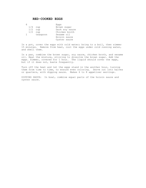#### **RED-COOKED EGGS**

6 Eggs<br>1/4 cup Brown 1/4 cup Brown sugar<br>1/2 cup Dark soy sa 1/2 cup Dark soy sauce<br>1/2 cup Chicken broth 1/2 cup Chicken broth<br>1 teaspoon Sesame oil teaspoon Hoisin sauce Oyster sauce

In a pot, cover the eggs with cold water; bring to a boil, then simmer 15 minutes. Remove from heat, cool the eggs under cold running water, and shell them.

In a pan, combine the brown sugar, soy sauce, chicken broth, and sesame oil. Heat the mixture, stirring to dissolve the brown sugar. Add the eggs. Simmer, covered for 1 hour. The liquid should cover the eggs, but if it does not, baste frequently.

Turn off the heat and let the eggs stand in the another hour, turning them from time to time, to ensure even coloring. Serve cut into halves or quarters, with dipping sauce. Makes 6 to 8 appetizer servings.

DIPPING SAUCE: In bowl, combine equal parts of the hoisin sauce and oyster sauce.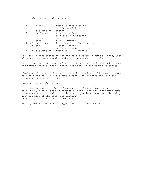Ricotta and Basil Lasagna

|                 | pound             | fresh lasagna noodles         |
|-----------------|-------------------|-------------------------------|
|                 |                   | OR 3/4 pound dried            |
| 4               | tablespoons       | butter                        |
| 2               | tablespoons       | flour -- sifted               |
|                 |                   | salt and white pepper         |
|                 | pinch             | nutmeg                        |
| 2               | cups              | $milk$ -- warmed              |
|                 | 1 1/2 tablespoons | fresh basil -- finely chopped |
| 1/2             | cup               | ricotta cheese                |
| 1/2             | cup               | Parmesan cheese -- grated     |
| $1 \frac{1}{2}$ | tablespoons       | fresh basil -- chopped        |
|                 |                   |                               |

Cook the lasagna sheets in boiling salted water, a few at a time, until al dente. Remove carefully and drain between dish towels.

Melt butter in a saucepan and stir in flour. Add a little salt, pepper and nutmeg and cook over a gentle heat until flour begins to change color.

Slowly whisk in warm milk until sauce is smooth and thickened. Remove from heat and stir in 1 tablespoon basil, the ricotta and half the Parmesan. Check seasonings.

Preheat oven to 400 degrees F.

In a greased baking dish, or lasagna pan, place a sheet of pasta, followed by a thin layer of ricotta mixture. Sprinkle this with some Parmesan and extra basil. Continue to layer in this order, finishing with the last of the sauce and Parmesan. Bake for just 20 minutes and serve hot.

Serving Ideas : Serve as an appetizer or luncheon entre.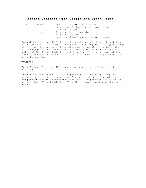# **Roasted Potatoes with Garlic and Fresh Herbs**

| 2  | pounds | new potatoes -- small are better       |
|----|--------|----------------------------------------|
|    |        | Rosefir or Yellow Finn are even better |
|    |        | salt and pepper                        |
| 10 | cloves | fresh garlic -- unpeeled               |
|    |        | fresh herb sprigs:                     |
|    |        | rosemary, thyme, sage leaves, oregano  |

Preheat the oven to 400 F. Leave the potatoes whole if small; cut into halves or quarters if large. Toss them in a baking dish with just enough oil to coat them (or spray them with cooking spray) and sprinkle with salt and pepper. Add the garlic and a few sprigs of fresh herbs; cover and roast for 35 to 40 minutes, until tender. If serving immediately, remove the herbs and season with salt and pepper to taste; or set them aside to use later.

VARIATION:

Twice-Roasted Potatoes: This is a great way to use leftover roast potatoes.

Preheat the oven to 450 F. If the potatoes are whole, cut them into halves, quarters, or large pieces. Toss with a little olive oil, salt, and pepper; bake in an uncovered dish until the potatoes are crisp and golden, about 20 to 25 minutes. Toss with chopped parsley or thyme and serve.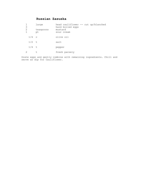# **Russian Zasuska**

| 3<br>2  | large<br>teaspoons<br>pt | head cauliflower -- cut up/blanched<br>hard boiled eggs<br>mustard<br>sour cream |
|---------|--------------------------|----------------------------------------------------------------------------------|
| $1/4$ c |                          | olive oil                                                                        |
| $1/2$ t |                          | salt                                                                             |
| $1/4$ t |                          | pepper                                                                           |
|         | t.                       | fresh parsely                                                                    |

Grate eggs and gently combine with remaining ingredients. Chill and serve as dip for Cauliflower.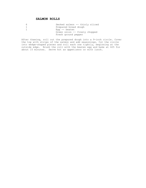### **SALMON ROLLS**

| b | Smoked salmon -- thinly sliced |
|---|--------------------------------|
|   | Prepared bread dough           |
|   | Eqq $-$ beaten                 |
|   | Green onion -- finely chopped  |
|   | Fresh ground pepper            |

After thawing, roll out the prepared dough into a 9-inch circle. Cover the top with strips of the salmon and add seasonings. Cut the circle into wedge-shaped pieces and roll each one tightly, beginning at the outside edge. Brush the roll with the beaten egg and bake at 425 for about 15 minutes. Serve hot as appetizers or with lunch.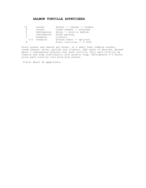# **SALMON TORTILLA APPETIZERS**

| 1.5            | ounces      | Salmon -- canned -- flaked |
|----------------|-------------|----------------------------|
| 8              | ounces      | Cream cheese -- softened   |
| 4              | tablespoons | Salsa -- mild or medium    |
| $\overline{2}$ | tablespoons | Fresh parsley              |
| 1              | teaspoon    | Cilantro                   |
| 1/4            | teaspoon    | Ground cumin -- optional   |
| 8              |             | Flour tortillas -- 8 inch  |

Drain salmon and remove any bones. In a small bowl combine salmon, cream cheese, salsa, parsley and cilantro. Add cumin if desired. Spread about 2 tablespoons mixture over each tortilla. Roll each tortilla up tightly and wrap individually with plastic wrap. Refrigerate 2-3 hours; slice each tortilla into bite-size pieces.

Yield: About 48 appetizers.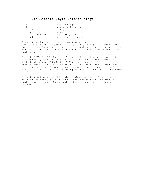### **San Antonio Style Chicken Wings**

| 1つ  |                | Chicken wings       |
|-----|----------------|---------------------|
|     | cup            | Pace picante sauce  |
| 1/3 | cup            | Catsup              |
| 1/4 | cup            | Honey               |
|     | $1/4$ teaspoon | Cumin -- ground     |
| 2/3 | cup            | Sour cream -- dairy |

Cut wings in half at joints; discard wing tips. Combine 1/3 cup of the picante sauce, catsup, honey and cumin; pour over chicken. Place in refrigerator; marinate at least 1 hour, turning once. Drain chicken, reserving marinade. Place on rack of foil-lined broiler pan.

Bake at 375F. for 30 minutes. Brush chicken with reserved marinade; turn and bake, brushing generously with marinade every 10 minutes, until tender, about 30 minutes.\* Place 6 inches from heat in preheated broiler; broil 2 to 3 minutes or until sauce looks dry. Turn; broil 2 to 3 minutes or until sauce looks dry. Spoon sour cream into small clear glass bowl; top with remaining 2/3 cup picante sauce. Serve with chicken.

Makes 24 appetizers.\*At this point, chicken may be refrigerated up to 24 hours. To serve, place 6 inches from heat in preheated broiler; broil 4 to 5 minutes. Turn; broil 4 to 5 minutes or until heated through.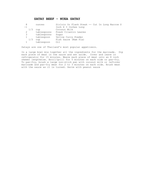### **SATAY BEEF - NUEA SATAY**

|      |     | ounces        | Sirloin Or Flank Steak -- Cut In Long Narrow S |
|------|-----|---------------|------------------------------------------------|
| $-1$ |     |               | Inch X 3 Inches Long                           |
|      | 1/3 | cup           | Coconut Milk                                   |
|      |     | tablespoons   | Fresh Cilantro Leaves                          |
|      |     | 3 tablespoons | Sugar                                          |
|      |     | tablespoon    | Yellow Curry Powder                            |
|      | 1/3 | cup           | Fish Sauce (Nam Pla)                           |
|      |     | tablespoon    | O <sub>i</sub> 1                               |

Satays are one of Thailand's most popular appetizers.

In a large bowl mix together all the ingredients for the marinade. Dip each piece of meat in the sauce and set aside. Cover and leave in refrigerator for 15 minutes. Weave each piece of meat onto an 8 inch skewer lengthwise. Broil/grill for 5 minutes on each side or pan-fry. To pan-fry, brush a large non-stick pan with coconut milk or leftover marinade and pan-fry meat for 2 to 3 minutes on each side. Brush meat with the sauce as it is turned. Serve with peanut sauce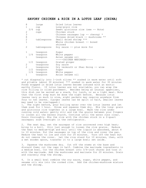#### **SAVORY CHICKEN & RICE IN A LOTUS LEAF (CHINA)**

| 8              | large           | Dried lotus leaves                   |
|----------------|-----------------|--------------------------------------|
| 1              | cup             | Long-grain rice                      |
|                | 3/4<br>cup      | Sweet glutinous rice (see -- Note)   |
| 2              | cups            | Chicken stock                        |
| 3              |                 | Chinese sausages lop $-$ cheong) $*$ |
| 8              |                 | Chinese dried black -- mushrooms **  |
| $\overline{2}$ | tablespoons     | Small dried shrimp ***               |
| $\overline{1}$ |                 | Whole chicken breast -- boned        |
|                |                 | skinned                              |
| $\overline{2}$ | tablespoons     | Soy sauce $--$ plus more for         |
|                |                 |                                      |
|                |                 |                                      |
| 1              | teaspoon        | Sugar                                |
|                | 1/4 teaspoon    | White pepper                         |
| 1              | teaspoon        | Asian sesame oil                     |
|                |                 | -----CHICKEN MARINADE-----           |
|                | 1/2<br>teaspoon | Grated ginger                        |
| 2              | teaspoons       | Soy sauce                            |
| $\overline{2}$ | teaspoons       | Dry vermouth or Shao Hsing -- wine   |
|                | 1/2 teaspoon    | Sugar                                |
|                | 1/4 teaspoon    | White pepper                         |
|                | teaspoon        | Asian sesame oil                     |

\* cut diagonally into 1-inch slices \*\* soaked in warm water until soft and pliable (about 30 minutes) \*\*\* soaked in warm water for 30 minutes Foods wrapped in dried lotus leaves become infused with an exotic earthy flavor. If lotus leaves are not available, you can wrap the rice filling in oiled parchment. Besides being an unusual appetizer, this dish can be served as a snack, for lunch, or as a light meal. Note that the first step must be done the night before. Because lotus leaves vary so much in size, eight packets may require anywhere from four to ten leaves. (Larger leaves can be split in half, smaller leaves may need to be overlapped.)

1. The night before, pour boiling water over the lotus leaves and let them soak for 1 hour. Rinse and squeeze them dry. Mix the long- grain and glutinous rice together in a large bowl. Wash the rice under running cold water; gently stir and rub the grains between your fingers to loosen all the excess starch. Continue until the water runs clear. Drain thoroughly. Mix the rice with the chicken stock in a 2-quart saucepan; soak overnight in the refrigerator.

2. The next day, set the saucepan of rice uncovered over high heat; bring to a boil. Stir just enough to loosen the rice grains. Reduce the heat to medium-high and boil until the liquid is absorbed, about 8 to 10 minutes. Put the sausages on top of the rice and cover the pan. Reduce the heat to low and cook for 20 minutes. Turn off the heat but do not remove the cover. Let the rice stand for 10 minutes, then, with a wet wooden spoon, transfer it to a large bowl; set aside.

3. Squeeze the mushrooms dry. Cut off the stems at the base and discard them; cut the caps in half. Combine the marinade ingredients in a medium bowl. Cut the chicken breast into 3/4-inch chunks and toss it with the marinade. Add the mushrooms and marinate for 20 minutes. Drain and coarsely chop the shrimp.

4. In a small bowl combine the soy sauce, sugar, white pepper, and sesame oil; mix into the cooked rice. Add the chicken-mushroom mixture and the shrimp.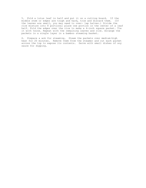5. Fold a lotus leaf in half and put it on a cutting board. If the middle stem or edges are tough and hard, trim and discard them. (If the leaves are small, you may need to over- lap halves.) Divide the rice mixture into 8 portions; place one portion in the center of a leaf half. Fold the edges over the rice to make a 4-inch square packet. Tie it with twine. Repeat with the remaining leaves and rice. Arrange the packets in a single layer in a bamboo steaming basket.

6. Prepare a wok for steaming. Steam the packets over medium-high heat for 20 minutes. Remove them from the steamer and cut each packet across the top to expose its contents. Serve with small dishes of soy sauce for dipping.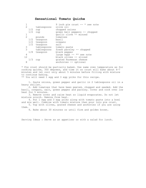#### **Sensational Tomato Quiche**

|                |     |              | 9 inch pie crust $--$ * see note |
|----------------|-----|--------------|----------------------------------|
| $\overline{2}$ |     | tablespoons  | olive oil                        |
|                | 1/2 | cup          | chopped onions                   |
|                | 1/2 | cup          | qreen bell peppers -- chopped    |
| 1              |     |              | qarlic clove -- minced           |
| $\overline{2}$ |     | pounds       | tomatoes                         |
|                | 1/2 | teaspoon     | basil                            |
|                |     | 1/2 teaspoon | oregano                          |
|                |     | 1/2 teaspoon | salt                             |
| 3              |     | tablespoons  | tomato paste                     |
| 3              |     | tablespoons  | fresh parsley -- chopped         |
|                |     | 1/8 teaspoon | black pepper                     |
| 4              |     |              | large eggs $--**$ see note       |
| 12             |     |              | black olives -- sliced           |
|                | 1/3 | cup          | grated Parmesan cheese           |
| 8              |     |              | anchovies -- optional            |
|                |     |              |                                  |

\* Pie crust should be partially baked. Use same oven temperature as for cooking quiche, 350 degrees, and time it so crust will bake about 4-7 minutes and let cool only about 5 minutes before filling with mixture to continue baking.

\*\* You will need 1 egg and 3 egg yolks for this recipe.

 1. Saute onions, green pepper and garlic in 2 tablespoons oil in a heavy skillet.

 2. Add tomatoes that have been peeled, chopped and seeded. Add the basil, oregano, salt, green pepper and parsley. Cover and cook over low heat for 5 minutes.

 3. Remove cover and raise heat so liquid evaporates. Do not let mixture scorch. Remove from heat.

 4. Put 1 egg and 3 egg yolks along with tomato paste into a bowl and mix well. Combine with tomato mixture then pour into pie crust. 5. Top with olives, grated cheese and anchovies if you are using

them.

6. Bake about 30 minutes or until firm and golden brown.

Serving Ideas : Serve as an appetizer or with a salad for lunch.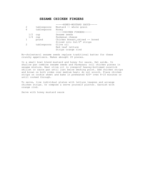#### **SESAME CHICKEN FINGERS**

| 2   | tablespoons | -----HONEY-MUSTARD SAUCE-----<br>Mustard -- whole grain |
|-----|-------------|---------------------------------------------------------|
| 6   | tablespoons | Honey                                                   |
|     |             | -----CHICKEN FINGERS-----                               |
| 1/2 | cup         | Sesame seeds                                            |
| 1/4 | cup         | Parmesan cheese                                         |
|     | pound       | Chicken Breast, skined -- boned                         |
|     |             | Sliced into 2x1/2" strips                               |
| 2   | tablespoons | Olive oil                                               |
|     |             | Red leaf lettuce                                        |
|     |             | Strips orange rind                                      |
|     |             |                                                         |

No-cholesterol sesame seeds replace traditional batter for these crunchy appetizers. Makes abought 20 pieces.

In a small bowl blend mustard and honey for sauce. Set aside. In shallow pan combine sesame seeds and Parmasan; roll chicken pieces in sesame mixture. Heat olive oil in ovenprof heavey-bottomed nonstick skillet or saute pan until just below smoking point. Add chicken strips and brown on both sides over medium heat; do not scorch. Place chicken strips on cookie sheet and bake in preheated 425\* oven 8-10 minutes or until cooked through.

To serve, line individual plates with lettuce leaqves and arrange chicken strips. Or compose a serve yourself platter. Garnish with orange rind.

Serve with honey mustard sauce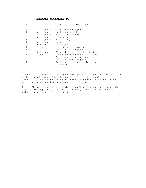# **SESAME NOODLES #2**

| $\overline{2}$ |                   | Cloves garlic -- minced         |
|----------------|-------------------|---------------------------------|
| 2              | tablespoons       | Chinese sesame paste            |
| $\mathbf{1}$   | tablespoon        | Dark sesame oil                 |
| 3              | tablespoons       | Tamari soy sauce                |
| $\overline{2}$ | tablespoons       | Rice wine                       |
|                | 1 1/2 tablespoons | Rice vinegar                    |
| $\mathbf{1}$   | tablespoon        | Honey                           |
|                | 1/2 teaspoon      | Chili paste                     |
| 1              | pinch             | Of five-spice powder            |
| 1              |                   | Scallion -- chopped             |
| 2              | tablespoons       | Chopped fresh cilantro (opt)    |
| 8              | ounces            | Dried wheat noodles -- linguine |
|                |                   | Fresh mung bean sprouts         |
|                |                   | Unsalted roasted peanuts        |
|                |                   | Scallion -- finely sliced on    |
|                |                   | diagonal                        |

Sauce: In a blender or food processor, puree all the sauce ingredients until free of lumps. Cook the noodles until tender and drain immediately; toss with the sauce. Serve at room temperature, topped with mung bean sprouts, peanuts and scallions.

Note: If you're not serving this soon after preparation, the noodles might clump together. Should this happen, stir in a little warm water and soy sauce just before serving.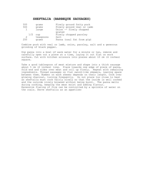#### **SHEFTALIA (BARBEQUE SAUSAGES)**

| 500          | grams     | Finely ground fatty pork   |
|--------------|-----------|----------------------------|
| 500          | grams     | Finely ground veal or lamb |
| $\mathbf{1}$ | large     | Onion -- finely chopped    |
|              |           | grated                     |
| 1/2          | cup       | Finely chopped parsley     |
| 2            | teaspoons | Salt                       |
| 250          | grams     | Panna (caul fat from pig)  |

Combine pork with veal or lamb, onion, parsley, salt and a generous grinding of black pepper.

Dip panna into a bowl of warm water for a minute or two, remove and carefully open out a piece at a time, laying it out flat on work surface. Cut with kitchen scissors into pieces about 10 cm (4 inches) square.

Take a good tablespoon of meat mixture and shape into a thick sausage about 5 cm (2 inches) long. Place towards one edge of piece of panna, fold end and sides over meat and roll up firmly. Repeat with remaining ingredients. Thread sausages on flat sword-like skewers, leaving space between them. Number on each skewer depends on their length. Cook over glowing charcoal, turning frequently. Do not place too close to heat as sheftalia must cook fairly slowly so that the inside is well cooked and the outside nicely browned without being burnt. The panna melts during cooking, keeping the meat moist and adding flavour. Excessive flaring of fire can be controlled by a sprinkle of water on the coals. Serve sheftalia as an appetizer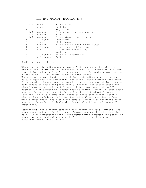#### **SHRIMP TOAST (MANDARIN)**

| 1/2 | pound       | Fresh shrimp                     |
|-----|-------------|----------------------------------|
| 2   | ounces      | Pork fat                         |
| 1   |             | Eqq white                        |
| 1/2 | teaspoon    | Rice wine $--$ or dry sherry     |
| 1/2 | teaspoon    | Salt                             |
| 1/2 | teaspoon    | Fresh ginger root -- minced      |
| 1   | tablespoon  | Cornstarch                       |
| 5   | slices      | White bread                      |
| 1   | teaspoon    | Black sesame seeds $--$ or poppy |
| 1   | tablespoon  | Minced ham -- if desired         |
| 6   | cups        | Oil -- for deep-frying           |
|     |             | $(optional) --$                  |
| 2   | tablespoons | Szechuan peppercorns             |
| 2   | tablespoons | Salt                             |
|     |             |                                  |

Shell and devein shrimp.

Rinse and pat dry with a paper towel. Flatten each shrimp with the broad side of a cleaver to make chopping easier. Use cleaver to finely chop shrimp and pork fat. Combine chopped pork fat and shrimp; chop to a fine paste. Place shrimp paste in a medium bowl. Use a spoon or your hands to mix shrimp paste with egg white, wine, salt, ginger root and cornstarch; set aside. Remove crusts from bread. Cut each slice into 4 squares. Mound 1 rounded teaspoon shrimp paste on each square of bread and press gently. Garnish with sesame seeds and minced ham, if desired. Heat 6 cups oil in a wok over high to 350 degrees F (175 degrees C). Reduce heat to medium. Carefully lower bread squares shrimp-side down into hot oil with a slotted metal spoon. Deep-fry 4 or 5 at a time until edges of bread turn golden, about 1 minute. Turn each bread and cook other side 30 seconds. Remove from oil with slotted spoon; drain on paper towels. Repeat with remaining bread squares. Serve hot. Sprinkle with Peppersalt, if desired. Makes 20 appetizers.

Peppersalt: Heat a medium saucepan over medium-low heat 1 minute. Add peppercorns and stir-fry 5 minutes. Remove saucepan from heat and let cool. Grind peppercorns into a fine powder with a mortar and pestle or pepper grinder. Add salt; mix well. Store in a tightly covered container. Makes about 1/4 cup.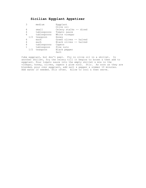# **Sicilian Eggplant Appetizer**

| 3 |     | medium      | Eqqplant               |
|---|-----|-------------|------------------------|
|   |     |             | Olive oil              |
| 4 |     | small       | Celery stalks -- diced |
| 4 |     | tablespoons | Tomato sauce           |
| 4 |     | tablespoons | White vinegar          |
|   | 1/2 | teaspoon    | Honey                  |
| 4 |     | each        | Green olives -- halved |
| 4 |     | each        | Black olives -- halved |
| 4 |     | tablespoons | Capers                 |
| 1 |     | tablespoon  | Pine nuts              |
|   | 1/2 | teaspoon    | Black pepper           |
|   |     |             | Salt                   |

Cube eggplant, but don't peel. Fry in olive oil in a skillet. In another skillet, fry the celery till it begins to brown & then add to eggplant. Pour tomato sauce into the empty skillet & mix in the vinegar, honey, olives, capers & pine nuts. Stir. As soon as they are blended, pour over eggplant, add salt & pepper & simmer 10 minutes. Add water if needed. Stir often. Allow to cool & then serve.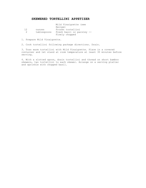#### **SKEWERED TORTELLINI APPETIZER**

|    |             | Mild Vinaigrette (see     |
|----|-------------|---------------------------|
|    |             | Recipe)                   |
| 12 | ounces      | Frozen tortellini         |
| 2  | tablespoons | Fresh basil or parsley -- |
|    |             | Finely chopped            |
|    |             |                           |

1. Prepare Mild Vinaigrette.

2. Cook tortellini following package directions. Drain.

3. Toss warm tortellini with Mild Vinaigrette. Place in a covered container and let stand at room temperature at least 30 minutes before serving.

4. With a slotted spoon, drain tortellini and thread on short bamboo skewers, two tortellini to each skewer. Arrange on a serving platter and sprinkle with chopped basil.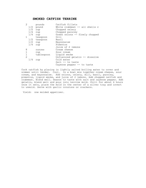#### **SMOKED CATFISH TERRINE**

| 2              | pounds       | Catfish fillets                 |
|----------------|--------------|---------------------------------|
| 1/2            | pound        | White crabmeat $-$ all shells r |
| 1/2            | cup          | Chopped celery                  |
|                | $1/4$ cup    | Chopped parsley                 |
| 1/4            | cup          | Green onions -- finely chopped  |
| 1              | teaspoon     | Dill                            |
|                | 1/2 teaspoon | Basil                           |
|                | $1/2$ cup    | Mayonnaise                      |
|                | $1/4$ cup    | Pimentos                        |
|                |              | Juice of 2 lemons               |
| 8              | ounces       | Cream cheese                    |
| $\mathbf{1}$   | cup          | Sour cream                      |
| $\mathbf{1}$   | tablespoon   | Liquid smoke                    |
| $\overline{2}$ |              | Unflavored gelatin -- dissolve  |
| 1/4            | cup          | Cold water                      |
|                |              | Salt -- to taste                |
|                |              | Cayenne pepper -- to taste      |

Cook catfish by placing in lightly salted boiling water to cover and simmer until tender. Cool. In a bowl mix together cream cheese, sour cream, and mayonnaise. Add onions, celery, dill, basil, parsley, pimentos, liquid smoke, and juice of 2 lemons. Add chopped catfish and crabmeat. Blend well. Season to taste with salt and cayenne pepper. Add gelatin, blend well and pour into terrine mold. Chill for about 4 hours once it sets, place the mold in the center of a silver tray and invert to unmold. Serve with garlic croutons or crackers.

Yield: one molded appetizer.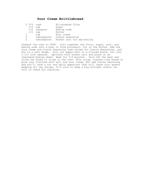# **Sour Cream Brittlebread**

| $2 \frac{3}{4}$ cups |                | All-purpose flour          |
|----------------------|----------------|----------------------------|
| 1/4                  | cup            | Sugar                      |
|                      | $1/2$ teaspoon | Baking soda                |
| 1/2                  | cup            | Butter                     |
|                      | cup            | Sour cream                 |
| 2                    | tablespoons    | Creole seasoning           |
| $\mathcal{L}$        | tablespoons    | Kosher salt for sprinkling |

Preheat the oven to 400F. Sift together the flour, sugar, salt, and baking soda into a bowl or food processor. Cut in the butter. Add the sour cream and Creole Seasoning (see recipe for Creole Seasoning), and mix to a soft dough. Roll out paper-thin on a floured board. Cut into 1-1/2 inch squares. Sprinkle with kosher salt and place on an ungreased baking sheet. Bake for 5-8 minutes. Turn off the heat and allow the bread to crisp in the oven. This crisp, cracker-like bread is good just flavored with salt and sour cream. But add Creole Seasoning and you'll have a hot and spicy appetizer that will leave your guests begging for the recipe. It's nice to keep a big airtight cookie jar full of these for snacking.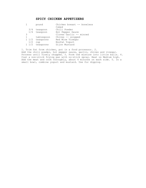### **SPICY CHICKEN APPETIZERS**

|           | pound           | Chicken breast -- boneless |
|-----------|-----------------|----------------------------|
|           |                 | Cubed                      |
| 3/4       | teaspoon        | Chili Powder               |
|           | 1/4 teaspoon    | Hot Pepper Sauce           |
| 3         |                 | Cloves Garlic -- minced    |
|           | tablespoon      | Chives -- snipped          |
|           | $1/2$ teaspoons | Red Wine Vinegar           |
| 1/2       | cup             | Nonfat Yoqurt              |
| $1 \t1/2$ | teaspoons       | Dijon Mustard              |
|           |                 |                            |

1. Trim fat from chicken, put in a food processor. 2. Add the chili powder, hot pepper sauce, garlic, chives and vinegar. Process until finely chopped. 3. Form the mixture into little balls. 4. Coat a non-stick frying pan with no-stick spray. Heat on Medium high. Add the meat and cook throughly, about 4 minutes on each side. 5. In a small bowl, combine yogurt and mustard. Use for dipping.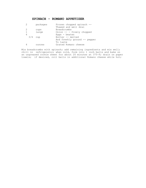### **SPINACH - ROMANO APPETIZER**

|              | packages | Frozen chopped spinach --    |
|--------------|----------|------------------------------|
|              |          | Thawed and well drai         |
| 2            | cups     | Breadcrumbs                  |
| $\mathbf{1}$ | large    | Onion $--$ finely chopped    |
| 4            |          | Eggs $-$ beaten              |
| 3/4          | cup      | Butter -- melted             |
|              |          | And freshly ground -- pepper |
|              |          | To taste                     |
| 4            | ounces   | Grated Romano cheese         |
|              |          |                              |

Mix breadcrumbs with spinach; add remaining ingredients and mix well; chill in refrigerator; when cold, form into 1 inch balls and bake on an ungreased cookie sheet for about 20 minutes at 375~F; drain on paper towels; if desired, roll balls in additional Romano cheese while hot;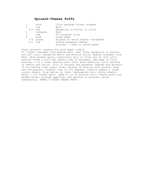# **Spinach-Cheese Puffs**

|     | each     | 10-oz package frozen chopped       |
|-----|----------|------------------------------------|
|     | cup      | Milk                               |
| 1/2 | cup      | Margarine or butter (1 stick       |
|     | teaspoon | Salt                               |
|     | cup      | All-purpose flour                  |
| 4   | each     | Large eggs                         |
| 1/4 | pound    | Gruyere or swiss cheese (shredded) |
| 1/2 | cup      | Grated parmesan cheese             |
|     |          | Parsley -- beet or salad green     |
|     |          |                                    |

Drain spinach; squeeze dry with paper towels. In 3-quart saucepan over medium heat, heat milk, margarine or butter, and salt until margarine melts and mixture boils. Remove saucepan from heat. With wooden spoon, vigorously stir in flour all at once until mixture forms a ball and leaves side of saucepan. Add eggs to flour mixture, 1 at a time, beating well after each addition, until mixture is smooth and satiny. Stir in Gruyere and parmesan cheeses and spinach. If not baking right away, cover surface of mixture with plastic wrap and refrigerate. Preheat oven to 375 degrees. Lightly grease 2 large cookie sheets. Drop batter by level tablespoons onto cookie sheets, about 1 1/2 inches apart. Bake 15 to 20 minutes until cheese puffs are golden brown. Arrange appetizer and garnish on platter; serve immediately. MAKES 4 DOZEN CHEESE PUFFS.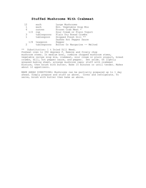### **Stuffed Mushrooms With Crabmeat**

| 12           | each         | Large Mushrooms               |
|--------------|--------------|-------------------------------|
| 1            | each         | Env. Vegetable Soup Mix       |
| 6            | ounces       | Frozen Crab Meat *            |
| 1/2          | cup          | Sour Cream or Plain Yoqurt    |
| 3            | tablespoons  | Plain Dry Bread Crumbs        |
| $\mathbf{1}$ | tablespoon   | Snipped Fresh Dill **         |
|              |              | Dashes Hot Pepper Sauce       |
|              | 1/8 teaspoon | Pepper                        |
| 2            | tablespoons  | Butter Or Margarine -- Melted |
|              |              |                               |

\*\* Substitution: 1 t Dried Dill Weed.

Preheat oven to 350 degrees F. Remove and finely chop mushroom stems. In medium bowl, combine chopped mushroom stems, vegetable recipe soup mix, crabmeat, sour cream or plain yougurt, bread crumbs, dill, hot pepper sauce, and pepper. Set aside. On lightly greased baking sheet, arrange mushroom caps; stuff with crabmeat mixture, then brush with butter. Bake 15 minutes or until tender. Makes about 12 appetizers.

MAKE AHEAD DIRECTIONS; Mushrooms can be partially prepared up to 1 day ahead. Simply prepare and stuff as above. Cover and refrigerate. To serve, brush with butter then bake as above.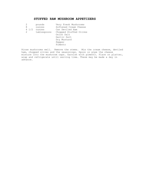# **STUFFED RAW MUSHROOM APPETIZERS**

| 2 | pounds                | Very Fresh Mushrooms   |
|---|-----------------------|------------------------|
| 8 | ounces                | Softened Cream Cheese  |
|   | $4\frac{1}{2}$ ounces | Can Deviled Ham        |
| 2 | tablespoons           | Chopped Stuffed Olives |
|   |                       | Onion Salt             |
|   |                       | Garlic Salt            |
|   |                       | Dry Mustard            |
|   |                       | Pepper                 |
|   |                       | Pimento                |
|   |                       |                        |

Rinse mushrooms well. Remove the stems. Mix the cream cheese, deviled ham, chopped olives and the seasonings. Spoon or pipe the cheese mixture into the mushroom caps. Garnish with pimento. Place on platter, wrap and refrigerate until serving time. These may be made a day in advance.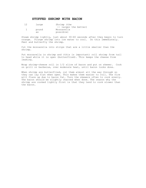#### **STUFFED SHRIMP WITH BACON**

| 12 | large | Shrimp (the           |
|----|-------|-----------------------|
|    |       | -- larger the better) |
|    | pound | Mozzarella            |
|    | as    | possible)             |

Steam shrimp lightly, just about 30-60 seconds after they begin to turn orange. Plunge shrimp into ice water to cool. Do this immediately. Peel and butterfly the shrimp.

Cut the mozzarella into strips that are a little smaller than the shrimp.

Put mozzarella in shrimp and (this is important) roll shrimp from tail to head while it is open (butterflied). This keeps the cheese from leaking.

Wrap shrimp-cheese roll in 1/2 slice of bacon and put on skewer. Cook on grill or barbecue, over moderate heat, until bacon looks done.

When shrimp are butterflied, cut them almost all the way through so they can lay flat when open. This makes them easier to roll. The fire will flare up due to bacon fat. Turn the skewers often to cook evenly. The bacon should be slightly charred when done. The reason why the shrimp are cooked lightly first is that they tend to cook slower than the bacon.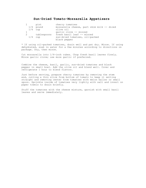#### **Sun-Dried Tomato-Mozzarella Appetizers**

|           | pint        | cherry tomatoes                            |
|-----------|-------------|--------------------------------------------|
|           | $1/4$ pound | mozzarella cheese, part skim milk -- diced |
| $1/4$ cup |             | olive oil                                  |
|           |             | qarlic clove -- minced                     |
|           | tablespoons | fresh basil leaf -- minced                 |
| 1/4       | cup         | sun-dried tomatoes, oil-packed             |
|           |             | black pepper                               |

\* If using oil-packed tomatoes, drain well and pat dry. Mince. If using dehydrated, soak in water for a few minutes according to directions on package. Dry, then mince.

Cut mozzarella into 1/4-inch cubes. Chop fresh basil leaves finely. Mince garlic clove; use more garlic if preferred.

Combine the cheese, basil, garlic, sun-dried tomatoes and black pepper in small bowl. Add the olive oil and blend well. Cover and refrigerate 1 hour to blend flavors.

Just before serving, prepare cherry tomatoes by removing the stem end, cutting a thin slice from bottom of tomato to keep it setting straight and removing center from tomatoes with melon baller or small spoon. Sprinkle inside of tomatoes very lightly with salt and invert on paper towels to drain briefly.

Stuff the tomatoes with the cheese mixture, garnish with small basil leaves and serve immediately.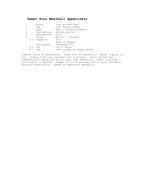# **Sweet Sour Meatball Appetizers**

|     | pound       | lean ground beef           |
|-----|-------------|----------------------------|
| 1   | cup         | soft bread crumbs          |
|     | each        | egg -- slightly beaten     |
| 2   | tablespoons | minced onions              |
| 2   | tablespoons | milk                       |
| 1   | clove       | qarlic -- minced           |
| 1/2 | teaspoon    | salt                       |
|     |             | dash of pepper             |
|     | tablespoon  | vegetable oil              |
| 2/3 | cup         | chili sauce                |
| 2/3 | cup         | red currant or grape jelly |
|     |             |                            |

Combine first 8 ingredients. Form into 40 meatballs. Brown lightly in oil. Cover; cook over low heat for 5 minutes. Drain excess fat. Combine chili sauce and jelly; pour over meatballs. Heat, stirring until jelly is melted. Simmer 10 to 12 minutes, until sauce thickens, basting occasionally. Makes 40 appetizer meatballs.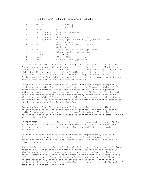#### **SZECHUAN STYLE CABBAGE RELISH**

|     | medium      | Green cabbage                          |
|-----|-------------|----------------------------------------|
|     |             | -----MARINADE-----                     |
| 8   | cups        | Water                                  |
| 2   | tablespoons | Szechuan peppercorns                   |
| 3   | tablespoons | Salt                                   |
| 2   | tablespoons | -Strong spirits -- or up to:           |
| 3   | tablespoons | Strong spirits -- - (gin, tequilla, or |
|     |             | kaoliang wine)                         |
|     | cup         | Icicle radish -- julienned             |
|     |             | (Optional)                             |
| 1/2 | cup         | Carrot -- julienned (optional)         |
| 2   | slices      | $-Ginqerror$ -- or up to:              |
| 5   | slices      | Gingerroot                             |
|     | small       | -Fresh Chile -- or up to:              |
| 3   | small       | Fresh Chiles (optional)                |
|     |             |                                        |

This relish is certainly the most ubiquitous and popular in all China. There is even a special earthenware pickling jar for it. Encircling the mouth of the jar is a shallow, water-filled trough, into which the lid fits like an upturned bowl, affording an airtight seal. Many a restaurant, no matter how small, keeps an ongoing batch in the works. It is especially favored as an appetizer or as an accompaniment to such specialties as boiled pot-stickers or noodles.

Szechuan is a Western province of China where red pepper frequently enlivens the food. The traditional hot, spicy flavor of this relish varies with individual taste; use as much or as little gingerroot and/or hot peppers as you like to do the job. Chiles can be chopped for a really hot effect; or for mere warmth, leave them whole with a slit down one side. If you omit the chiles and gingerroot altogether, the result will be a pleasant pickle flavor with the natural sweetness of the crisp vegetables in the forefront.

Green cabbage (not Chinese cabbage) is the principle ingredient, but other vegetables may be added for color (carrot) and variety (icicle radish). One batch requires several days' steeping. The brine should be reused, for each time the vegetables contribute their flavor, and it gets better and better.

DIRECTIONS: =========== Discard limp outer leaves of cabbage. It is not necessary to separate leaves individually. Break the head into fairly large yet bite-sized pieces. Pat dry and let excess moisture evaporate.

To make marinade: Brin to a boil the water, peppercorns, and salt. Strain out the peppercorns as you pour the liquid into a plastic container (with air-tight lid), ceramic bowl, or crock. Let cool to room temperature.

When the brine has cooled, add the alcohol, then cabbage and additional vegetables. Weigh these down with a clean, heavy ceramic object (I simply use a plate) or stone so that they remain submerged in the brine. Cover tightly with plastic wrap or air-tight lid. Store in the refrigerator for at least three days before uncovering. The first one or two batches may seem a bit salty and raw-tasting; after that a mellow, richly mature character develops. It can store indefinitely if kept cold, airtight, and clean.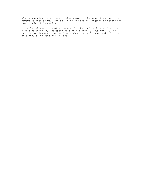Always use clean, dry utensils when removing the vegetables. You can remove as much as you want at a time and add new vegetables before the previous batch is used up.

To replenish the brine after several batches, add a little alcohol and a salt solution (1/2 teaspoon salt boiled with 1/2 cup water). The original marinade can be reboiled with additional water and salt, but this results in some flavor loss.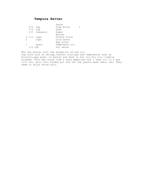# **Tempura Batter**

|   |     |                     | Sauce          |  |
|---|-----|---------------------|----------------|--|
|   | 3/4 | cup                 | Clam broth     |  |
|   |     | $1/4$ cup           | Sake           |  |
|   | 1/2 | teaspoon            | Sugar          |  |
|   |     |                     | Batter         |  |
|   |     | $2\frac{1}{2}$ cups | Sifted flour   |  |
| 2 |     | cups                | Cold water     |  |
|   |     |                     | Egg yolks      |  |
|   |     | quart               | Vegetable oil. |  |
|   | 1/  | cup                 | soy sauce      |  |
|   |     |                     |                |  |

Mix the batter with the exception of the oil. Dip food such as shrimp,lobster scallops and vegetables such as broccoli,pea pods, in batter and dunk in hot oil,fry till lightly browned. This may sound like a hard appetizer but I heat oil in a pan till hot, pour into fondue pot and let the guests make their own. They seem to enjoy doing this.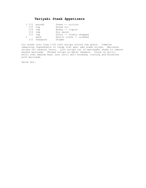# **Teriyaki Steak Appetizers**

|  | $1\frac{1}{2}$ pounds | Steak -- sirloin        |
|--|-----------------------|-------------------------|
|  | $1/2$ cup             | Salad oil               |
|  | $1/4$ cup             | Honey $--$ liquid       |
|  | $1/4$ cup             | Soy sauce               |
|  | $1/2$ cup             | Onion -- finely chopped |
|  | each                  | Garlic clove -- crushed |
|  | 1/2 teaspoon          | Ginger                  |

Cut steak into long 1/16 inch strips across the grain. Combine remaining ingredients in large flat pan; add steak strips. Marinate strips for several hours. Lift strips out of marinade; shake to remove excess marinade. Thread strips on metal skewers. Place on grill; broil over medium heat just until well browned, turning and brushing with marinade.

Serve hot.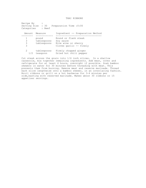THAI RIBBONS

| Recipe By<br>Categories | Serving Size : 30<br>: Beef         | Preparation Time : 0:00                                                             |
|-------------------------|-------------------------------------|-------------------------------------------------------------------------------------|
|                         | Amount Measure                      | Ingredient -- Preparation Method                                                    |
| 3<br>3<br>3             | pound<br>tablespoons<br>tablespoons | Round or flank steak<br>Soy sauce<br>Rice wine or sherry<br>Cloves garlic -- finely |
| 2<br>1/2                | tablespoons<br>teaspoon             | Finely chopped ginger<br>Dried hot chili pepper                                     |

Cut steak across the grain into 1/4 inch slices. In a shallow casserole, mix together remaining ingredients. Add meat, cover and refrigerate for at least 4 hours, overnight if possible. Soak bamboo skewers in water for 30 minutes before threading with meat. This prevents them from burning. Remove meat and reserve marinade. Thread each slice lengthwise onto a bamboo skewer, in an interlacing fashion. Broil ribbons or grill on a hot barbecue for 3-4 minutes per side,basting with reserved marinade. Makes about 30 ribbons or 15 appetizer servings.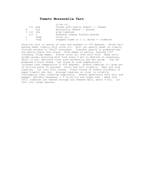#### **Tomato Mozzarella Tart**

|                     |           | olive oil                               |
|---------------------|-----------|-----------------------------------------|
|                     | $1/2$ pkg | frozen puff pastry sheets -- thawed     |
|                     | OZS       | mozzarella cheese -- grated             |
| $1 \frac{1}{2}$ lbs |           | plum tomatoes                           |
| $1/2$ c             |           | Parmesan cheese freshly grated          |
| $1 -$               | tbsp      | olive oil                               |
|                     | tbsp      | chopped thyme or 1 t. dried -- crumbled |

Position rack in center of oven and preheat to 375 degrees. Brush 9x13 baking sheet lightly with olive oil. Roll out pastry sheet on lightly floured surface to 16x12" rectangle. Transfer pastry to prepared pan and gently press into place. Trim edges of pastry, leaving 1/2" overhang. Crimp edges. Pierce crust all over with fork. Bake until golden brown, piercing with fork every 5 min to deflate if necessary, about 15 min. Sprinkle crust with mozzarella and set aside. (Can be prepared 4 hours ahead. Let stand at room temperature.) Increase oven temperature to 425 degrees. Blanch tomatoes in large pot of boiling water 20 seconds. Drain and cool slightly. Peel and core tomatoes. Cut into thin rounds. Place rounds on double thickness of paper towels; pat dry. Arrange tomatoes on crust in slightly overlapping rows, covering completely. Season generously with salt and pepper. Sprinkle Parmesan, 1 T olive oil and thyme over. Bake tart until tomatoes are heated through and cheeses melt, about 9 min. Cut tart into large squares.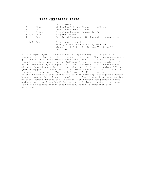#### **Tree Appetizer Torte**

| 4<br>8<br>15<br>$1 \t1/4$ | Pkgs.<br>$Oz$ .<br>Slices<br>Cups<br>Cup | Cheesecloth<br>(8 Oz.Each) Cream Cheese -- softened<br>Goat Cheese -- softened<br>Provolone Cheese (Approx. $3/4$ Lb.)<br>Prepared Pesto<br>Sun-Dried Tomatoes, Oil-Packed -- chopped and |
|---------------------------|------------------------------------------|-------------------------------------------------------------------------------------------------------------------------------------------------------------------------------------------|
| 1/2                       | Cup                                      | Pine Nuts -- toasted<br>Thinly Sliced French Bread, Toasted<br>(Brush With Olive Oil Before Toasting If<br>Desired)                                                                       |

Wet a single layer of cheesecloth and squeeze dry. Line pan with cheesecloth, allowing cloth to extend over sides. Beat cream cheese and goat cheese until very creamy and smooth, about 3 minutes. Layer ingredients in prepared pan as follows: 2 cups cream cheese mixture 5 slices provolone 3/4 cup pesto 5 slices provolone a cup cream cheese mixture chopped sun-dried tomatoes pine nuts 5 slices provolone 3/4 cup (remaining pesto) 2 cups (remaining) cream cheese mixture Fold hanging cheesecloth over top. (For the holiday's I like to use my Wilton's Christmas tree shaped pan to make this in) Refrigerate several hours or overnight. Unwrap top of mold. Unmold appetizer onto serving platter; remove cheesecloth. Garnish with roasted red pepper circles and star at top, fresh basil leaves and additional toasted pine nuts. Serve with toasted French bread slices. Makes 25 appetizer-size servings.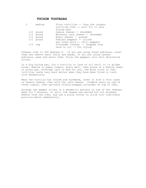### **TUCSON TOSTADAS**

| medium      | Flour tortillas $-$ (buy the largest<br>tortillas that -- will fit in your |
|-------------|----------------------------------------------------------------------------|
|             | frying pan)                                                                |
| $1/2$ pound | Oaxaca cheese -- shredded                                                  |
| $1/2$ pound | Monterey jack cheese -- shredded                                           |
| $1/3$ pound | Anejo cheese -- grated                                                     |
| $1/2$ pound | Poblano peppers -- sliced                                                  |
|             | any other mild -- chili pepper)                                            |
| $1/4$ cup   | Coriander (fresh) -- chopped fine<br>Lard or $oil$ -- for frying           |

Preheat oven to 350 degrees F. If you are using fresh poblanos, roast them and remove their skins and seeds, If you are using canned poblanos, wash and drain them. Slice the peppers into thin decorative slices.

In a big frying pan, fry a tortilla in lard or oil until it is golden brown. Remove to paper towels, drain well, then place on a baking sheet or pizza pan. Although lard is bad for you, the grim truth is that tortillas taste very much better when they have been fried in lard. Live dangerously.

When the tortilla has cooled and hardened, cover it with a thin layer of Oaxaca cheese, then with the jack cheese. Crumble anejo on top of those layers, then sprinkle finely-chopped coriander on top of that.

Arrange the pepper slices in a geometric pattern on top of the cheeses. Bake for 5 minutes, or until the cheese has melted but not browned. Remove from the oven, and use a pizza cutter to slice into individual portions.Serve immediately.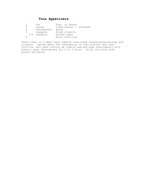# **Tuna Appetizers**

|   | can            | Tuna or Salmon  |  |                          |
|---|----------------|-----------------|--|--------------------------|
| 8 | ounces         |                 |  | Cream chesse -- softened |
| 4 | tablespoons    | Salsa           |  |                          |
|   | teaspoon       | Dried cilantro  |  |                          |
|   | $1/4$ teaspoon | Ground cumin    |  |                          |
|   |                | Flour Tortillas |  |                          |

Drain tuna, in a small bowl combine tuna, cream chesse, salsa, parsley and cilantro. Spread about two tablespoons of tuna mixture over each tortilla. Roll each tortiia up tightly and and wrap individually with plastic wrap. Refrigerate for 2 to 3 hours. Slice into bite size pieces and serve.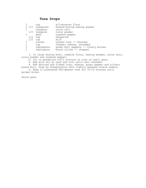## **Tuna Drops**

|     | cup             | all-purpose flour                   |
|-----|-----------------|-------------------------------------|
|     | 1 1/2 teaspoons | double-acting baking powder         |
|     | teaspoon        | onion salt                          |
| 1/2 | teaspoon        | curry powder                        |
|     | dash            | cayenne pepper                      |
| 1/4 | cup             | margarine                           |
| 1/2 | cup             | milk                                |
|     | ounces          | canned tuna -- drained              |
|     | cup             | cheddar cheese, shredded            |
|     | tablespoon      | green bell peppers -- finely minced |
|     | tablespoon      | black olives -- chopped             |
|     |                 |                                     |

 1. In large mixing bowl, combine flour, baking powder, onion salt, curry powder and cayenne pepper.

2. Cut in margarine until mixture is size of small peas.

3. Add milk all at once and stir until well blended.

 4. Add drained and flaked tuna, cheese, green pepper and olives; blend well. Drop by teaspoonfuls onto lightly greased cookie sheets.

 5. Bake in preheated 450-degree oven for 10-12 minutes until golden brown.

Serve warm.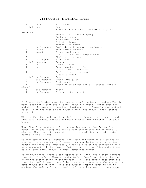#### **VIETNAMESE IMPERIAL ROLLS**

| $\overline{2}$ | cups           | Warm water                                 |
|----------------|----------------|--------------------------------------------|
| 1/4            | cup            | Sugar                                      |
|                |                | Sixteen 8-inch round dried -- rice paper   |
| wrappers       |                |                                            |
|                |                | Peanut oil for deep-frying                 |
|                |                | Lettuce leaves                             |
|                |                | Fresh mint leaves                          |
|                |                | Cilantro leaves                            |
|                |                | $---FILLING---$                            |
| 3              | tablespoons    | Small dried tree ear -- mushrooms          |
| $\overline{2}$ | ounces         | Bean thread noodles                        |
| $\mathbf{1}$   | pound          | Ground pork butt                           |
| 4              |                | Garlic cloves -- finely minced             |
| 4              |                | Shallots $--$ minced                       |
| $\mathbf{1}$   | tablespoon     | Fish sauce                                 |
|                | 1/2 teaspoon   | Pepper                                     |
| 1              | cup            | Grated carrot                              |
| $\mathbf{1}$   | cup            | Bean sprouts -- tailed                     |
|                |                | -----DIPPING SAUCE-----                    |
| $\mathbf{1}$   |                | Garlic clove -- squeezed                   |
|                |                | a garlic press                             |
|                | 1/2 tablespoon | Sugar                                      |
| 4              |                | tablespoons Fresh lime juice               |
| 3              | tablespoons    | Fish sauce                                 |
| $\mathbf{1}$   |                | Fresh or dried red chile -- seeded, finely |
| minced         |                |                                            |
| 3              | tablespoons    | Water                                      |
| 1              | tablespoon     |                                            |
|                |                | Finely grated carrot                       |

In 2 separate bowls, soak the tree ears and the bean thread noodles in warm water until soft and pliable, about 6 minutes. Rinse tree ears and drain. Remove and discard any hard centers. Coarsely chop and set aside, Drain the noodles and roughly chop into about 2-inch lengths; set aside.

Mix together the pork, garlic, shallots, fish sauce and pepper. Add tree ears, noodles, carrots and bean sprouts; mix together with your hands.

Nuoc Cham Dipping Sauce: Combine garlic, sugar, lime juice, fish sauce, chile and water; let sit at room temperature for at least 10 minutes, When ready to use, strain into a small bowl and add grated carrot. Makes 1/2 cup.

To form spring rolls: Combine warm water and sugar in a wide shallow pan (such as a cake pan). Immerse 1 wrapper in the sugar water for a second and immediate immediately place it flat on the counter or on a wet, wrung-out, kitchen towel. Let sit until it wrinkles and softens to a pliable skin, about 1 minute, sometimes longer.

Using your hands, shape 3 tablespoons of filling into a tight compact log, about 1-inch in diameter and 4 to 5 inches long. Place the log along the bottom third of the wrapper. Roll the bottom edge over the log, then roll it over the filling once more. Make sure the wrapper is taut around the filling. Fold the outside wrapper edges inward to enclose the ends. Roll up to seal. If there is a tear in the wrapper,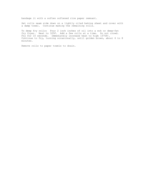bandage it with a soften softened rice paper remnant.

Set rolls seam side down on a lightly oiled baking sheet and cover with a damp towel. Continue making the remaining rolls.

To deep fry rolls: Pour 2 inch inches of oil into a wok or deep-fat fry fryer. Heat to 325F. Add a few rolls at a time. Do not crowd. Fry for 10 seconds. Immediately increase heat to high (375F). Continue to fry, turning occasionally, until golden brown, about 6 to 8 minutes.

Remove rolls to paper towels to drain.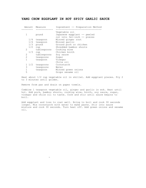### **YANG CHOW EGGPLANT IN HOT SPICY GARLIC SAUCE**

|              | Amount Measure | Ingredient -- Preparation Method                                            |
|--------------|----------------|-----------------------------------------------------------------------------|
| 1            | pound          | Vegetable oil<br>Japanese eqqplant -- peeled<br>cut into 3x1-inch -- pieces |
| 1/4          | teaspoon       | Minced ginger root                                                          |
|              | 1/4 teaspoon   | Minced garlic                                                               |
| 1/3          | pound          | Ground pork or chicken                                                      |
| 1/2          | cup            | Shredded bamboo shoots                                                      |
| 2            | tablespoons    | Cooking wine                                                                |
| 1/3          | cup            | Chicken broth                                                               |
| 2            | tablespoons    | Soy sauce                                                                   |
| 2            | teaspoons      | Sugar                                                                       |
| $\mathbf{1}$ | teaspoon       | Vinegar                                                                     |
|              |                | Chile oil                                                                   |
| $1 \t1/2$    | teaspoons      | Cornstarch                                                                  |
| 3            | teaspoons      | Water                                                                       |
| 1            | teaspoon       | Minced green onions                                                         |
| 5            |                | Drops sesame oil                                                            |

Heat about 1/2 cup vegetable oil in skillet. Add eggplant pieces. Fry 2 to 3 minutes until golden.

Remove from pan and drain on paper towels.

- 1990 - 1990 - 1990 - 1990 - 1990 - 1990 - 1990 - 1990 - 1990 - 1990 - 1990 - 1990 - 1990 - 1990 - 1990 - 19

Combine 1 teaspoon vegetable oil, ginger and garlic in wok. Heat until hot. Add pork, bamboo shoots, cooking wine, broth, soy sauce, sugar, vinegar and chile oil to taste. Cook and stir until sauce begins to boil.

Add eggplant and toss to coat well. Bring to boil and cook 30 seconds longer. Mix cornstarch with water to make paste. Stir into sauce mixture and cook 30 seconds. Turn heat off. Add green onions and sesame oil.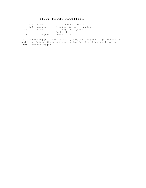## **ZIPPY TOMATO APPETIZER**

|               | $10 \t1/2$ ounces | Can condensed beef broth        |
|---------------|-------------------|---------------------------------|
|               | $1/2$ teaspoon    | Dried marjoram -- crushed       |
| 46            | ounces            | Can vegetable juice<br>Cocktail |
| and the state | tablespoon        | Lemon juice                     |
|               |                   |                                 |

In slow-cooking pot, combine broth, marjoram, vegetable juice cocktail, and lemon juice. Cover and heat on low for 2 to 3 hours. Serve hot from slow-cooking pot.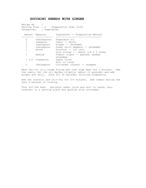### **ZUCCHINI SHREDS WITH GINGER**

Recipe By Serving Size : 4 Preparation Time :0:00 Categories : Vegetables Amount Measure Ingredient -- Preparation Method -------- ------------ -------------------------------- 2 tablespoons Vegetable oil 1 teaspoon Cumin -- whole 1 tablespoon Ginger -- shredded 1 tablespoon Green chili peppers -- shredded 1 pound Zucchini -- cut into thin strips -- (about  $1/8 \times 3$  inche<br>1 medium Tomato (ripe) -- peeled, seeded Tomato (ripe) -- peeled, seeded shredded<br>Lemon juice  $1 \t1/2$  teaspoons Salt to taste 1 tablespoon Coriander (fresh) -- chopped

Heat the oil in a large frying pan over high heat for 3 minutes. Add the cumin, let the oil darken slightly (about 10 seconds) and add ginger and chili. Cook for 30 seconds, stirring frequently.

Add the zucchini and stir-fry for 3-4 minutes. Add tomato during the last 2 minutes of cooking.

Turn off the heat. Sprinkle lemon juice and salt to taste, mix, transfer to a serving plate and garnish with coriander.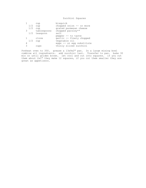Zucchini Squares

|     | cup            | bisquick                  |
|-----|----------------|---------------------------|
| 1/2 | cup            | chopped onion -- or more  |
| 1/2 | cup            | grated parmesan cheese    |
| 3   | tablespoons    | chopped parsley**         |
|     | $1/2$ teaspoon | salt                      |
|     |                | pepper -- to taste        |
|     | clove          | garlic -- finely chopped  |
| 1/2 | cup            | vegatable oil             |
| 4   |                | eggs -- or egg substitute |
| 3   | cups           | thinly sliced zucchini    |
|     |                |                           |

Preheat oven to 350. grease a 13x9x2" pan. In a large mixing bowl combine all ingredients. add zucchini last. Transfer to pan. bake 30 min or until golden brown. let cool and cut into squares. if you cut them about 2x1" they make 12 squares, if you cut them smaller they are great as appetizers.